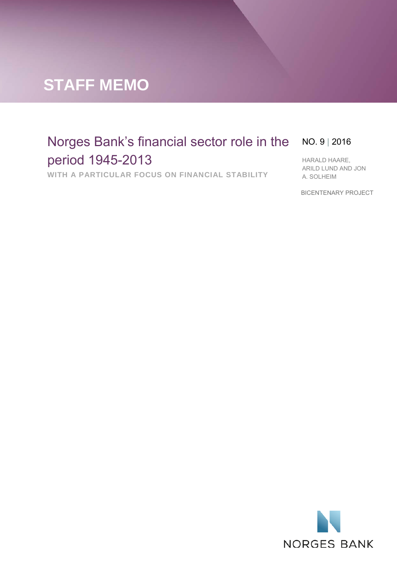# **STAFF MEMO**

# Norges Bank's financial sector role in the NO. 9 | 2016 period 1945-2013

**WITH A PARTICULAR FOCUS ON FINANCIAL STABILITY**

HARALD HAARE, ARILD LUND AND JON A. SOLHEIM

BICENTENARY PROJECT

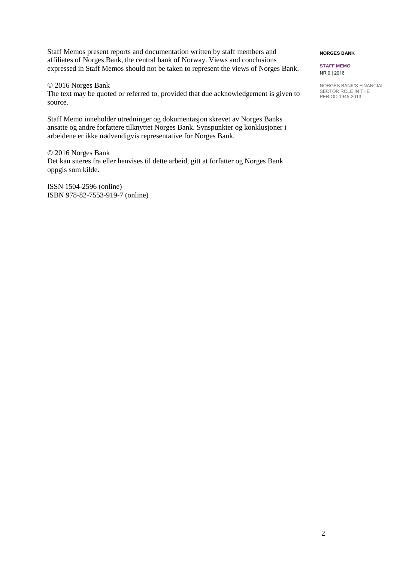Staff Memos present reports and documentation written by staff members and affiliates of Norges Bank, the central bank of Norway. Views and conclusions expressed in Staff Memos should not be taken to represent the views of Norges Bank.

© 2016 Norges Bank The text may be quoted or referred to, provided that due acknowledgement is given to source.

Staff Memo inneholder utredninger og dokumentasjon skrevet av Norges Banks ansatte og andre forfattere tilknyttet Norges Bank. Synspunkter og konklusjoner i arbeidene er ikke nødvendigvis representative for Norges Bank.

© 2016 Norges Bank Det kan siteres fra eller henvises til dette arbeid, gitt at forfatter og Norges Bank oppgis som kilde.

ISSN 1504-2596 (online) ISBN 978-82-7553-919-7 (online)

#### **NORGES BANK**

**STAFF MEMO** NR 9 | 2016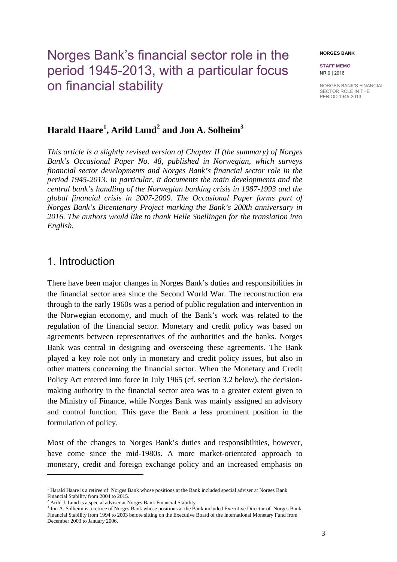# Norges Bank's financial sector role in the period 1945-2013, with a particular focus on financial stability

#### **NORGES BANK**

**STAFF MEMO** NR 9 | 2016

NORGES BANK'S FINANCIAL SECTOR ROLE IN THE PERIOD 1945-2013

## **Harald Haare[1](#page-2-0) , Arild Lund[2](#page-2-1) and Jon A. Solheim[3](#page-2-2)**

*This article is a slightly revised version of Chapter II (the summary) of Norges Bank's Occasional Paper No. 48, published in Norwegian, which surveys financial sector developments and Norges Bank's financial sector role in the period 1945-2013. In particular, it documents the main developments and the central bank's handling of the Norwegian banking crisis in 1987-1993 and the global financial crisis in 2007-2009. The Occasional Paper forms part of Norges Bank's Bicentenary Project marking the Bank's 200th anniversary in 2016. The authors would like to thank Helle Snellingen for the translation into English.* 

## 1. Introduction

 $\overline{a}$ 

There have been major changes in Norges Bank's duties and responsibilities in the financial sector area since the Second World War. The reconstruction era through to the early 1960s was a period of public regulation and intervention in the Norwegian economy, and much of the Bank's work was related to the regulation of the financial sector. Monetary and credit policy was based on agreements between representatives of the authorities and the banks. Norges Bank was central in designing and overseeing these agreements. The Bank played a key role not only in monetary and credit policy issues, but also in other matters concerning the financial sector. When the Monetary and Credit Policy Act entered into force in July 1965 (cf. section 3.2 below), the decisionmaking authority in the financial sector area was to a greater extent given to the Ministry of Finance, while Norges Bank was mainly assigned an advisory and control function. This gave the Bank a less prominent position in the formulation of policy.

Most of the changes to Norges Bank's duties and responsibilities, however, have come since the mid-1980s. A more market-orientated approach to monetary, credit and foreign exchange policy and an increased emphasis on

<span id="page-2-0"></span><sup>&</sup>lt;sup>1</sup> Harald Haare is a retiree of Norges Bank whose positions at the Bank included special adviser at Norges Bank Financial Stability from 2004 to 2015.

<span id="page-2-1"></span><sup>2</sup> Arild J. Lund is a special adviser at Norges Bank Financial Stability.

<span id="page-2-2"></span><sup>&</sup>lt;sup>3</sup> Jon A. Solheim is a retiree of Norges Bank whose positions at the Bank included Executive Director of Norges Bank Financial Stability from 1994 to 2003 before sitting on the Executive Board of the International Monetary Fund from December 2003 to January 2006.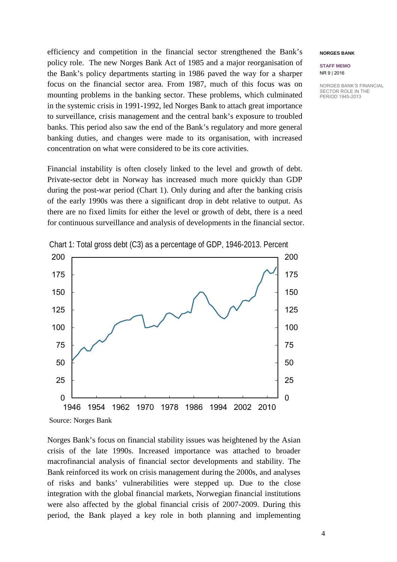efficiency and competition in the financial sector strengthened the Bank's policy role. The new Norges Bank Act of 1985 and a major reorganisation of the Bank's policy departments starting in 1986 paved the way for a sharper focus on the financial sector area. From 1987, much of this focus was on mounting problems in the banking sector. These problems, which culminated in the systemic crisis in 1991-1992, led Norges Bank to attach great importance to surveillance, crisis management and the central bank's exposure to troubled banks. This period also saw the end of the Bank's regulatory and more general banking duties, and changes were made to its organisation, with increased concentration on what were considered to be its core activities.

Financial instability is often closely linked to the level and growth of debt. Private-sector debt in Norway has increased much more quickly than GDP during the post-war period (Chart 1). Only during and after the banking crisis of the early 1990s was there a significant drop in debt relative to output. As there are no fixed limits for either the level or growth of debt, there is a need for continuous surveillance and analysis of developments in the financial sector.



Chart 1: Total gross debt (C3) as a percentage of GDP, 1946-2013. Percent

Source: Norges Bank

Norges Bank's focus on financial stability issues was heightened by the Asian crisis of the late 1990s. Increased importance was attached to broader macrofinancial analysis of financial sector developments and stability. The Bank reinforced its work on crisis management during the 2000s, and analyses of risks and banks' vulnerabilities were stepped up. Due to the close integration with the global financial markets, Norwegian financial institutions were also affected by the global financial crisis of 2007-2009. During this period, the Bank played a key role in both planning and implementing

#### **NORGES BANK**

#### **STAFF MEMO** NR 9 | 2016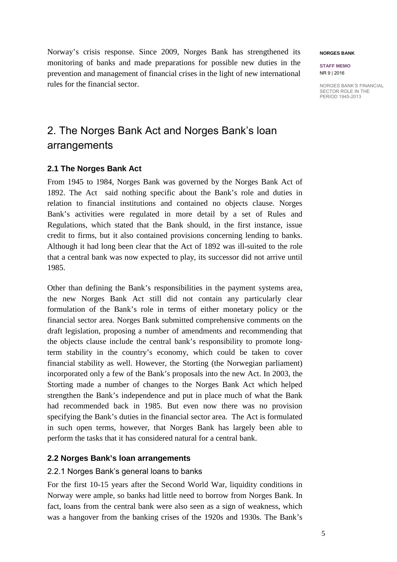Norway's crisis response. Since 2009, Norges Bank has strengthened its monitoring of banks and made preparations for possible new duties in the prevention and management of financial crises in the light of new international rules for the financial sector.

## 2. The Norges Bank Act and Norges Bank's loan arrangements

## **2.1 The Norges Bank Act**

From 1945 to 1984, Norges Bank was governed by the Norges Bank Act of 1892. The Act said nothing specific about the Bank's role and duties in relation to financial institutions and contained no objects clause. Norges Bank's activities were regulated in more detail by a set of Rules and Regulations, which stated that the Bank should, in the first instance, issue credit to firms, but it also contained provisions concerning lending to banks. Although it had long been clear that the Act of 1892 was ill-suited to the role that a central bank was now expected to play, its successor did not arrive until 1985.

Other than defining the Bank's responsibilities in the payment systems area, the new Norges Bank Act still did not contain any particularly clear formulation of the Bank's role in terms of either monetary policy or the financial sector area. Norges Bank submitted comprehensive comments on the draft legislation, proposing a number of amendments and recommending that the objects clause include the central bank's responsibility to promote longterm stability in the country's economy, which could be taken to cover financial stability as well. However, the Storting (the Norwegian parliament) incorporated only a few of the Bank's proposals into the new Act. In 2003, the Storting made a number of changes to the Norges Bank Act which helped strengthen the Bank's independence and put in place much of what the Bank had recommended back in 1985. But even now there was no provision specifying the Bank's duties in the financial sector area. The Act is formulated in such open terms, however, that Norges Bank has largely been able to perform the tasks that it has considered natural for a central bank.

## **2.2 Norges Bank's loan arrangements**

### 2.2.1 Norges Bank's general loans to banks

For the first 10-15 years after the Second World War, liquidity conditions in Norway were ample, so banks had little need to borrow from Norges Bank. In fact, loans from the central bank were also seen as a sign of weakness, which was a hangover from the banking crises of the 1920s and 1930s. The Bank's

#### **NORGES BANK**

**STAFF MEMO** NR 9 | 2016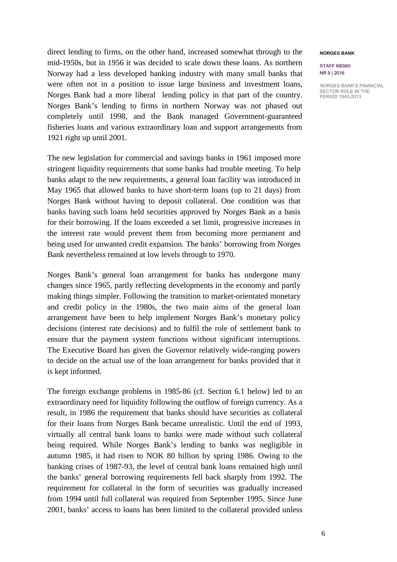direct lending to firms, on the other hand, increased somewhat through to the mid-1950s, but in 1956 it was decided to scale down these loans. As northern Norway had a less developed banking industry with many small banks that were often not in a position to issue large business and investment loans, Norges Bank had a more liberal lending policy in that part of the country. Norges Bank's lending to firms in northern Norway was not phased out completely until 1998, and the Bank managed Government-guaranteed fisheries loans and various extraordinary loan and support arrangements from 1921 right up until 2001.

The new legislation for commercial and savings banks in 1961 imposed more stringent liquidity requirements that some banks had trouble meeting. To help banks adapt to the new requirements, a general loan facility was introduced in May 1965 that allowed banks to have short-term loans (up to 21 days) from Norges Bank without having to deposit collateral. One condition was that banks having such loans held securities approved by Norges Bank as a basis for their borrowing. If the loans exceeded a set limit, progressive increases in the interest rate would prevent them from becoming more permanent and being used for unwanted credit expansion. The banks' borrowing from Norges Bank nevertheless remained at low levels through to 1970.

Norges Bank's general loan arrangement for banks has undergone many changes since 1965, partly reflecting developments in the economy and partly making things simpler. Following the transition to market-orientated monetary and credit policy in the 1980s, the two main aims of the general loan arrangement have been to help implement Norges Bank's monetary policy decisions (interest rate decisions) and to fulfil the role of settlement bank to ensure that the payment system functions without significant interruptions. The Executive Board has given the Governor relatively wide-ranging powers to decide on the actual use of the loan arrangement for banks provided that it is kept informed.

The foreign exchange problems in 1985-86 (cf. Section 6.1 below) led to an extraordinary need for liquidity following the outflow of foreign currency. As a result, in 1986 the requirement that banks should have securities as collateral for their loans from Norges Bank became unrealistic. Until the end of 1993, virtually all central bank loans to banks were made without such collateral being required. While Norges Bank's lending to banks was negligible in autumn 1985, it had risen to NOK 80 billion by spring 1986. Owing to the banking crises of 1987-93, the level of central bank loans remained high until the banks' general borrowing requirements fell back sharply from 1992. The requirement for collateral in the form of securities was gradually increased from 1994 until full collateral was required from September 1995. Since June 2001, banks' access to loans has been limited to the collateral provided unless

#### **NORGES BANK**

**STAFF MEMO** NR 9 | 2016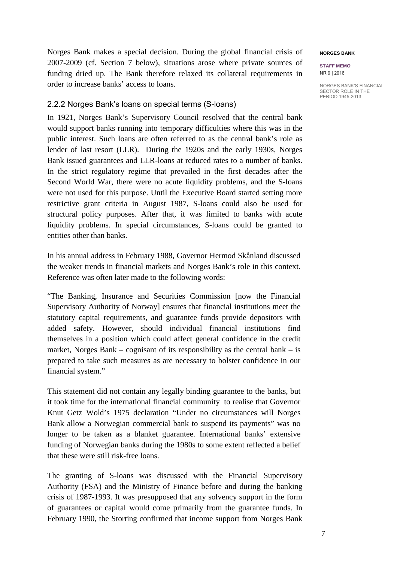Norges Bank makes a special decision. During the global financial crisis of 2007-2009 (cf. Section 7 below), situations arose where private sources of funding dried up. The Bank therefore relaxed its collateral requirements in order to increase banks' access to loans.

### 2.2.2 Norges Bank's loans on special terms (S-loans)

In 1921, Norges Bank's Supervisory Council resolved that the central bank would support banks running into temporary difficulties where this was in the public interest. Such loans are often referred to as the central bank's role as lender of last resort (LLR). During the 1920s and the early 1930s, Norges Bank issued guarantees and LLR-loans at reduced rates to a number of banks. In the strict regulatory regime that prevailed in the first decades after the Second World War, there were no acute liquidity problems, and the S-loans were not used for this purpose. Until the Executive Board started setting more restrictive grant criteria in August 1987, S-loans could also be used for structural policy purposes. After that, it was limited to banks with acute liquidity problems. In special circumstances, S-loans could be granted to entities other than banks.

In his annual address in February 1988, Governor Hermod Skånland discussed the weaker trends in financial markets and Norges Bank's role in this context. Reference was often later made to the following words:

"The Banking, Insurance and Securities Commission [now the Financial Supervisory Authority of Norway] ensures that financial institutions meet the statutory capital requirements, and guarantee funds provide depositors with added safety. However, should individual financial institutions find themselves in a position which could affect general confidence in the credit market, Norges Bank – cognisant of its responsibility as the central bank – is prepared to take such measures as are necessary to bolster confidence in our financial system."

This statement did not contain any legally binding guarantee to the banks, but it took time for the international financial community to realise that Governor Knut Getz Wold's 1975 declaration "Under no circumstances will Norges Bank allow a Norwegian commercial bank to suspend its payments" was no longer to be taken as a blanket guarantee. International banks' extensive funding of Norwegian banks during the 1980s to some extent reflected a belief that these were still risk-free loans.

The granting of S-loans was discussed with the Financial Supervisory Authority (FSA) and the Ministry of Finance before and during the banking crisis of 1987-1993. It was presupposed that any solvency support in the form of guarantees or capital would come primarily from the guarantee funds. In February 1990, the Storting confirmed that income support from Norges Bank

#### **NORGES BANK**

**STAFF MEMO** NR 9 | 2016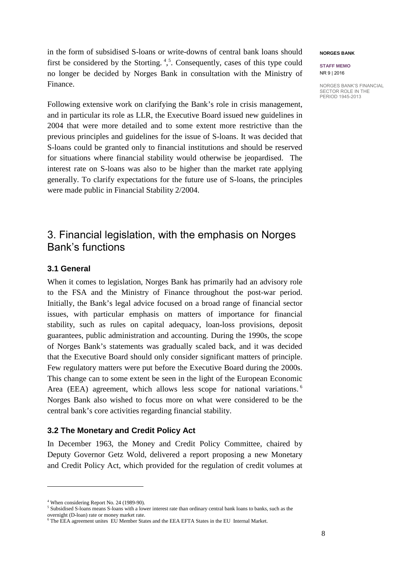in the form of subsidised S-loans or write-downs of central bank loans should first be considered by the Storting.<sup>[4](#page-7-0),[5](#page-7-1)</sup>. Consequently, cases of this type could no longer be decided by Norges Bank in consultation with the Ministry of Finance.

Following extensive work on clarifying the Bank's role in crisis management, and in particular its role as LLR, the Executive Board issued new guidelines in 2004 that were more detailed and to some extent more restrictive than the previous principles and guidelines for the issue of S-loans. It was decided that S-loans could be granted only to financial institutions and should be reserved for situations where financial stability would otherwise be jeopardised. The interest rate on S-loans was also to be higher than the market rate applying generally. To clarify expectations for the future use of S-loans, the principles were made public in Financial Stability 2/2004.

## 3. Financial legislation, with the emphasis on Norges Bank's functions

## **3.1 General**

When it comes to legislation, Norges Bank has primarily had an advisory role to the FSA and the Ministry of Finance throughout the post-war period. Initially, the Bank's legal advice focused on a broad range of financial sector issues, with particular emphasis on matters of importance for financial stability, such as rules on capital adequacy, loan-loss provisions, deposit guarantees, public administration and accounting. During the 1990s, the scope of Norges Bank's statements was gradually scaled back, and it was decided that the Executive Board should only consider significant matters of principle. Few regulatory matters were put before the Executive Board during the 2000s. This change can to some extent be seen in the light of the European Economic Area (EEA) agreement, which allows less scope for national variations.<sup>[6](#page-7-2)</sup> Norges Bank also wished to focus more on what were considered to be the central bank's core activities regarding financial stability.

### **3.2 The Monetary and Credit Policy Act**

In December 1963, the Money and Credit Policy Committee, chaired by Deputy Governor Getz Wold, delivered a report proposing a new Monetary and Credit Policy Act, which provided for the regulation of credit volumes at

 $\overline{a}$ 

#### **NORGES BANK**

**STAFF MEMO** NR 9 | 2016

<span id="page-7-1"></span><span id="page-7-0"></span><sup>&</sup>lt;sup>4</sup> When considering Report No. 24 (1989-90). <sup>5</sup> Subsidised S-loans means S-loans with a lower interest rate than ordinary central bank loans to banks, such as the overnight (D-loan) rate or money market rate.

<span id="page-7-2"></span><sup>6</sup> The EEA agreement unites EU Member States and the EEA EFTA States in the EU Internal Market.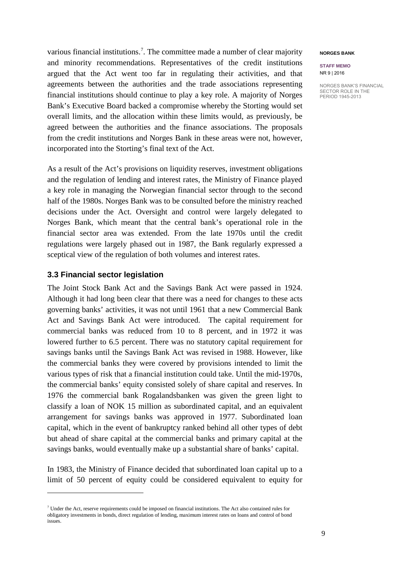various financial institutions. [7](#page-8-0) . The committee made a number of clear majority and minority recommendations. Representatives of the credit institutions argued that the Act went too far in regulating their activities, and that agreements between the authorities and the trade associations representing financial institutions should continue to play a key role. A majority of Norges Bank's Executive Board backed a compromise whereby the Storting would set overall limits, and the allocation within these limits would, as previously, be agreed between the authorities and the finance associations. The proposals from the credit institutions and Norges Bank in these areas were not, however, incorporated into the Storting's final text of the Act.

As a result of the Act's provisions on liquidity reserves, investment obligations and the regulation of lending and interest rates, the Ministry of Finance played a key role in managing the Norwegian financial sector through to the second half of the 1980s. Norges Bank was to be consulted before the ministry reached decisions under the Act. Oversight and control were largely delegated to Norges Bank, which meant that the central bank's operational role in the financial sector area was extended. From the late 1970s until the credit regulations were largely phased out in 1987, the Bank regularly expressed a sceptical view of the regulation of both volumes and interest rates.

### **3.3 Financial sector legislation**

 $\overline{a}$ 

The Joint Stock Bank Act and the Savings Bank Act were passed in 1924. Although it had long been clear that there was a need for changes to these acts governing banks' activities, it was not until 1961 that a new Commercial Bank Act and Savings Bank Act were introduced. The capital requirement for commercial banks was reduced from 10 to 8 percent, and in 1972 it was lowered further to 6.5 percent. There was no statutory capital requirement for savings banks until the Savings Bank Act was revised in 1988. However, like the commercial banks they were covered by provisions intended to limit the various types of risk that a financial institution could take. Until the mid-1970s, the commercial banks' equity consisted solely of share capital and reserves. In 1976 the commercial bank Rogalandsbanken was given the green light to classify a loan of NOK 15 million as subordinated capital, and an equivalent arrangement for savings banks was approved in 1977. Subordinated loan capital, which in the event of bankruptcy ranked behind all other types of debt but ahead of share capital at the commercial banks and primary capital at the savings banks, would eventually make up a substantial share of banks' capital.

In 1983, the Ministry of Finance decided that subordinated loan capital up to a limit of 50 percent of equity could be considered equivalent to equity for

#### **NORGES BANK**

**STAFF MEMO** NR 9 | 2016

<span id="page-8-0"></span> $7$  Under the Act, reserve requirements could be imposed on financial institutions. The Act also contained rules for obligatory investments in bonds, direct regulation of lending, maximum interest rates on loans and control of bond issues.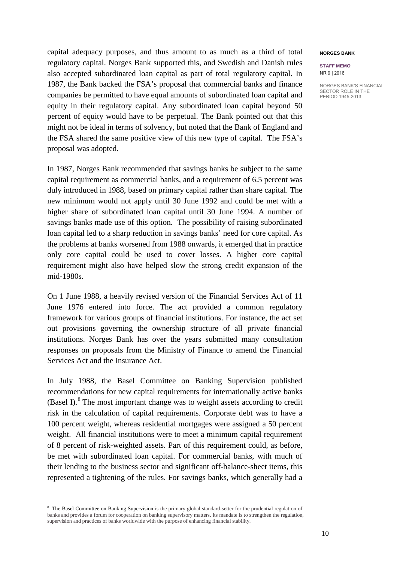capital adequacy purposes, and thus amount to as much as a third of total regulatory capital. Norges Bank supported this, and Swedish and Danish rules also accepted subordinated loan capital as part of total regulatory capital. In 1987, the Bank backed the FSA's proposal that commercial banks and finance companies be permitted to have equal amounts of subordinated loan capital and equity in their regulatory capital. Any subordinated loan capital beyond 50 percent of equity would have to be perpetual. The Bank pointed out that this might not be ideal in terms of solvency, but noted that the Bank of England and the FSA shared the same positive view of this new type of capital. The FSA's proposal was adopted.

In 1987, Norges Bank recommended that savings banks be subject to the same capital requirement as commercial banks, and a requirement of 6.5 percent was duly introduced in 1988, based on primary capital rather than share capital. The new minimum would not apply until 30 June 1992 and could be met with a higher share of subordinated loan capital until 30 June 1994. A number of savings banks made use of this option. The possibility of raising subordinated loan capital led to a sharp reduction in savings banks' need for core capital. As the problems at banks worsened from 1988 onwards, it emerged that in practice only core capital could be used to cover losses. A higher core capital requirement might also have helped slow the strong credit expansion of the mid-1980s.

On 1 June 1988, a heavily revised version of the Financial Services Act of 11 June 1976 entered into force. The act provided a common regulatory framework for various groups of financial institutions. For instance, the act set out provisions governing the ownership structure of all private financial institutions. Norges Bank has over the years submitted many consultation responses on proposals from the Ministry of Finance to amend the Financial Services Act and the Insurance Act.

In July 1988, the Basel Committee on Banking Supervision published recommendations for new capital requirements for internationally active banks (Basel I). $8$  The most important change was to weight assets according to credit risk in the calculation of capital requirements. Corporate debt was to have a 100 percent weight, whereas residential mortgages were assigned a 50 percent weight. All financial institutions were to meet a minimum capital requirement of 8 percent of risk-weighted assets. Part of this requirement could, as before, be met with subordinated loan capital. For commercial banks, with much of their lending to the business sector and significant off-balance-sheet items, this represented a tightening of the rules. For savings banks, which generally had a

 $\overline{a}$ 

#### **NORGES BANK**

**STAFF MEMO** NR 9 | 2016

<span id="page-9-0"></span><sup>&</sup>lt;sup>8</sup> The Basel Committee on Banking Supervision is the primary global standard-setter for the prudential regulation of banks and provides a forum for cooperation on banking supervisory matters. Its mandate is to strengthen the regulation, supervision and practices of banks worldwide with the purpose of enhancing financial stability.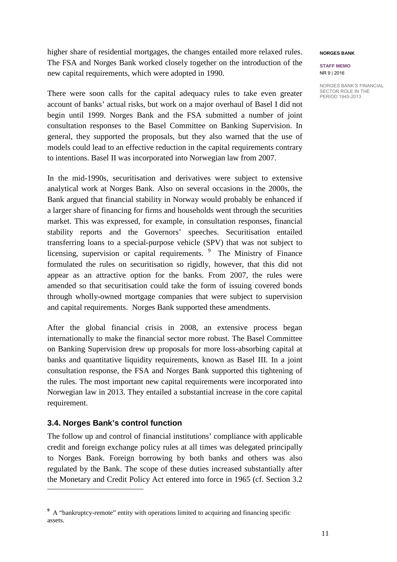higher share of residential mortgages, the changes entailed more relaxed rules. The FSA and Norges Bank worked closely together on the introduction of the new capital requirements, which were adopted in 1990.

There were soon calls for the capital adequacy rules to take even greater account of banks' actual risks, but work on a major overhaul of Basel I did not begin until 1999. Norges Bank and the FSA submitted a number of joint consultation responses to the Basel Committee on Banking Supervision. In general, they supported the proposals, but they also warned that the use of models could lead to an effective reduction in the capital requirements contrary to intentions. Basel II was incorporated into Norwegian law from 2007.

In the mid-1990s, securitisation and derivatives were subject to extensive analytical work at Norges Bank. Also on several occasions in the 2000s, the Bank argued that financial stability in Norway would probably be enhanced if a larger share of financing for firms and households went through the securities market. This was expressed, for example, in consultation responses, financial stability reports and the Governors' speeches. Securitisation entailed transferring loans to a special-purpose vehicle (SPV) that was not subject to licensing, supervision or capital requirements. <sup>[9](#page-10-0)</sup> The Ministry of Finance formulated the rules on securitisation so rigidly, however, that this did not appear as an attractive option for the banks. From 2007, the rules were amended so that securitisation could take the form of issuing covered bonds through wholly-owned mortgage companies that were subject to supervision and capital requirements. Norges Bank supported these amendments.

After the global financial crisis in 2008, an extensive process began internationally to make the financial sector more robust. The Basel Committee on Banking Supervision drew up proposals for more loss-absorbing capital at banks and quantitative liquidity requirements, known as Basel III. In a joint consultation response, the FSA and Norges Bank supported this tightening of the rules. The most important new capital requirements were incorporated into Norwegian law in 2013. They entailed a substantial increase in the core capital requirement.

### **3.4. Norges Bank's control function**

 $\ddot{\phantom{a}}$ 

The follow up and control of financial institutions' compliance with applicable credit and foreign exchange policy rules at all times was delegated principally to Norges Bank. Foreign borrowing by both banks and others was also regulated by the Bank. The scope of these duties increased substantially after the Monetary and Credit Policy Act entered into force in 1965 (cf. Section 3.2

#### **NORGES BANK**

#### **STAFF MEMO** NR 9 | 2016

<span id="page-10-0"></span><sup>&</sup>lt;sup>9</sup> A "bankruptcy-remote" entity with operations limited to acquiring and financing specific assets.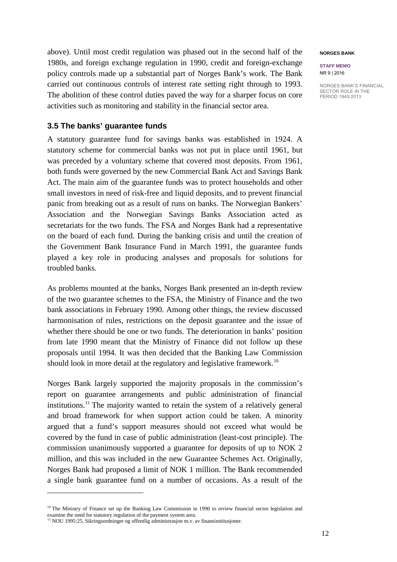above). Until most credit regulation was phased out in the second half of the 1980s, and foreign exchange regulation in 1990, credit and foreign-exchange policy controls made up a substantial part of Norges Bank's work. The Bank carried out continuous controls of interest rate setting right through to 1993. The abolition of these control duties paved the way for a sharper focus on core activities such as monitoring and stability in the financial sector area.

### **3.5 The banks' guarantee funds**

A statutory guarantee fund for savings banks was established in 1924. A statutory scheme for commercial banks was not put in place until 1961, but was preceded by a voluntary scheme that covered most deposits. From 1961, both funds were governed by the new Commercial Bank Act and Savings Bank Act. The main aim of the guarantee funds was to protect households and other small investors in need of risk-free and liquid deposits, and to prevent financial panic from breaking out as a result of runs on banks. The Norwegian Bankers' Association and the Norwegian Savings Banks Association acted as secretariats for the two funds. The FSA and Norges Bank had a representative on the board of each fund. During the banking crisis and until the creation of the Government Bank Insurance Fund in March 1991, the guarantee funds played a key role in producing analyses and proposals for solutions for troubled banks.

As problems mounted at the banks, Norges Bank presented an in-depth review of the two guarantee schemes to the FSA, the Ministry of Finance and the two bank associations in February 1990. Among other things, the review discussed harmonisation of rules, restrictions on the deposit guarantee and the issue of whether there should be one or two funds. The deterioration in banks' position from late 1990 meant that the Ministry of Finance did not follow up these proposals until 1994. It was then decided that the Banking Law Commission should look in more detail at the regulatory and legislative framework.<sup>[10](#page-11-0)</sup>

Norges Bank largely supported the majority proposals in the commission's report on guarantee arrangements and public administration of financial institutions. [11](#page-11-1) The majority wanted to retain the system of a relatively general and broad framework for when support action could be taken. A minority argued that a fund's support measures should not exceed what would be covered by the fund in case of public administration (least-cost principle). The commission unanimously supported a guarantee for deposits of up to NOK 2 million, and this was included in the new Guarantee Schemes Act. Originally, Norges Bank had proposed a limit of NOK 1 million. The Bank recommended a single bank guarantee fund on a number of occasions. As a result of the

 $\overline{a}$ 

#### **NORGES BANK**

**STAFF MEMO** NR 9 | 2016

<span id="page-11-0"></span><sup>&</sup>lt;sup>10</sup> The Ministry of Finance set up the Banking Law Commission in 1990 to review financial sector legislation and examine the need for statutory regulation of the payment system area.

<span id="page-11-1"></span><sup>&</sup>lt;sup>11</sup> NOU 1995:25, Sikringsordninger og offentlig administrasjon m.v. av finansinstitusjoner.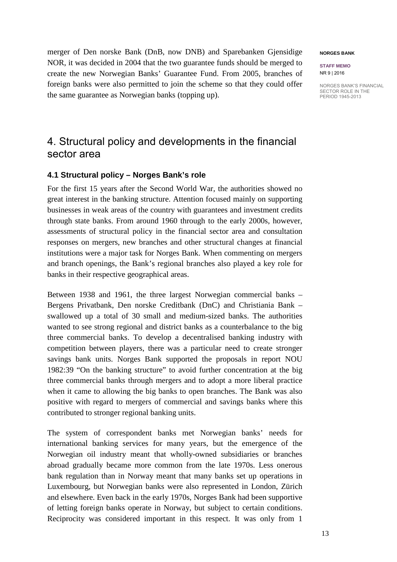merger of Den norske Bank (DnB, now DNB) and Sparebanken Gjensidige NOR, it was decided in 2004 that the two guarantee funds should be merged to create the new Norwegian Banks' Guarantee Fund. From 2005, branches of foreign banks were also permitted to join the scheme so that they could offer the same guarantee as Norwegian banks (topping up).

## 4. Structural policy and developments in the financial sector area

## **4.1 Structural policy – Norges Bank's role**

For the first 15 years after the Second World War, the authorities showed no great interest in the banking structure. Attention focused mainly on supporting businesses in weak areas of the country with guarantees and investment credits through state banks. From around 1960 through to the early 2000s, however, assessments of structural policy in the financial sector area and consultation responses on mergers, new branches and other structural changes at financial institutions were a major task for Norges Bank. When commenting on mergers and branch openings, the Bank's regional branches also played a key role for banks in their respective geographical areas.

Between 1938 and 1961, the three largest Norwegian commercial banks – Bergens Privatbank, Den norske Creditbank (DnC) and Christiania Bank – swallowed up a total of 30 small and medium-sized banks. The authorities wanted to see strong regional and district banks as a counterbalance to the big three commercial banks. To develop a decentralised banking industry with competition between players, there was a particular need to create stronger savings bank units. Norges Bank supported the proposals in report NOU 1982:39 "On the banking structure" to avoid further concentration at the big three commercial banks through mergers and to adopt a more liberal practice when it came to allowing the big banks to open branches. The Bank was also positive with regard to mergers of commercial and savings banks where this contributed to stronger regional banking units.

The system of correspondent banks met Norwegian banks' needs for international banking services for many years, but the emergence of the Norwegian oil industry meant that wholly-owned subsidiaries or branches abroad gradually became more common from the late 1970s. Less onerous bank regulation than in Norway meant that many banks set up operations in Luxembourg, but Norwegian banks were also represented in London, Zürich and elsewhere. Even back in the early 1970s, Norges Bank had been supportive of letting foreign banks operate in Norway, but subject to certain conditions. Reciprocity was considered important in this respect. It was only from 1

#### **NORGES BANK**

**STAFF MEMO** NR 9 | 2016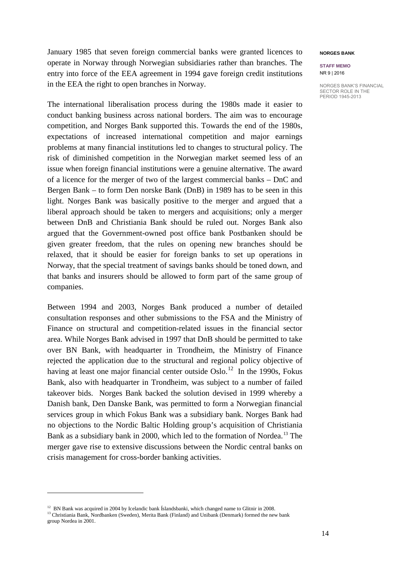January 1985 that seven foreign commercial banks were granted licences to operate in Norway through Norwegian subsidiaries rather than branches. The entry into force of the EEA agreement in 1994 gave foreign credit institutions in the EEA the right to open branches in Norway.

The international liberalisation process during the 1980s made it easier to conduct banking business across national borders. The aim was to encourage competition, and Norges Bank supported this. Towards the end of the 1980s, expectations of increased international competition and major earnings problems at many financial institutions led to changes to structural policy. The risk of diminished competition in the Norwegian market seemed less of an issue when foreign financial institutions were a genuine alternative. The award of a licence for the merger of two of the largest commercial banks – DnC and Bergen Bank – to form Den norske Bank (DnB) in 1989 has to be seen in this light. Norges Bank was basically positive to the merger and argued that a liberal approach should be taken to mergers and acquisitions; only a merger between DnB and Christiania Bank should be ruled out. Norges Bank also argued that the Government-owned post office bank Postbanken should be given greater freedom, that the rules on opening new branches should be relaxed, that it should be easier for foreign banks to set up operations in Norway, that the special treatment of savings banks should be toned down, and that banks and insurers should be allowed to form part of the same group of companies.

Between 1994 and 2003, Norges Bank produced a number of detailed consultation responses and other submissions to the FSA and the Ministry of Finance on structural and competition-related issues in the financial sector area. While Norges Bank advised in 1997 that DnB should be permitted to take over BN Bank, with headquarter in Trondheim, the Ministry of Finance rejected the application due to the structural and regional policy objective of having at least one major financial center outside Oslo.<sup>12</sup> In the 1990s, Fokus Bank, also with headquarter in Trondheim, was subject to a number of failed takeover bids. Norges Bank backed the solution devised in 1999 whereby a Danish bank, Den Danske Bank, was permitted to form a Norwegian financial services group in which Fokus Bank was a subsidiary bank. Norges Bank had no objections to the Nordic Baltic Holding group's acquisition of Christiania Bank as a subsidiary bank in 2000, which led to the formation of Nordea.<sup>[13](#page-13-1)</sup> The merger gave rise to extensive discussions between the Nordic central banks on crisis management for cross-border banking activities.

 $\overline{a}$ 

#### **NORGES BANK**

#### **STAFF MEMO** NR 9 | 2016

<span id="page-13-1"></span><span id="page-13-0"></span><sup>&</sup>lt;sup>12</sup> BN Bank was acquired in 2004 by Icelandic bank Íslandsbanki, which changed name to Glitnir in 2008. <sup>13</sup> Christiania Bank, Nordbanken (Sweden), Merita Bank (Finland) and Unibank (Denmark) formed the new bank group Nordea in 2001.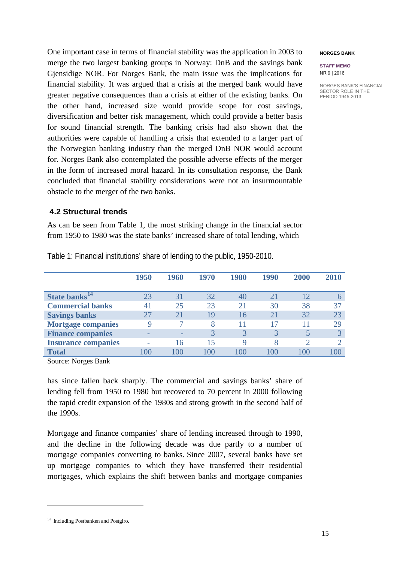One important case in terms of financial stability was the application in 2003 to merge the two largest banking groups in Norway: DnB and the savings bank Gjensidige NOR. For Norges Bank, the main issue was the implications for financial stability. It was argued that a crisis at the merged bank would have greater negative consequences than a crisis at either of the existing banks. On the other hand, increased size would provide scope for cost savings, diversification and better risk management, which could provide a better basis for sound financial strength. The banking crisis had also shown that the authorities were capable of handling a crisis that extended to a larger part of the Norwegian banking industry than the merged DnB NOR would account for. Norges Bank also contemplated the possible adverse effects of the merger in the form of increased moral hazard. In its consultation response, the Bank concluded that financial stability considerations were not an insurmountable obstacle to the merger of the two banks.

## **4.2 Structural trends**

As can be seen from Table 1, the most striking change in the financial sector from 1950 to 1980 was the state banks' increased share of total lending, which

|                            | 1950 | 1960 | 1970        | 1980 | 1990     | 2000         | 2010         |
|----------------------------|------|------|-------------|------|----------|--------------|--------------|
| State banks <sup>14</sup>  | 23   | 31   | 32          | 40   | 21       | 12           |              |
| <b>Commercial banks</b>    | 41   | 25   | 23          | 21   | 30       | 38           | 37           |
| <b>Savings banks</b>       |      |      | 19          | 16   | 21       | 32           | 23           |
| <b>Mortgage companies</b>  | Q    |      | 8           |      |          |              | 29           |
| <b>Finance companies</b>   |      |      | 3           | 3    | 3        |              | $\mathbf{R}$ |
| <b>Insurance companies</b> |      | 16   | 15          | 9    | 8        |              |              |
| <b>Total</b>               | .OO  | LOO  | $100^\circ$ | 00   | $\Omega$ | $($ $)($ $)$ |              |

Table 1: Financial institutions' share of lending to the public, 1950-2010.

Source: Norges Bank

has since fallen back sharply. The commercial and savings banks' share of lending fell from 1950 to 1980 but recovered to 70 percent in 2000 following the rapid credit expansion of the 1980s and strong growth in the second half of the 1990s.

Mortgage and finance companies' share of lending increased through to 1990, and the decline in the following decade was due partly to a number of mortgage companies converting to banks. Since 2007, several banks have set up mortgage companies to which they have transferred their residential mortgages, which explains the shift between banks and mortgage companies

#### <span id="page-14-0"></span><sup>14</sup> Including Postbanken and Postgiro.

 $\overline{a}$ 

**NORGES BANK**

**STAFF MEMO** NR 9 | 2016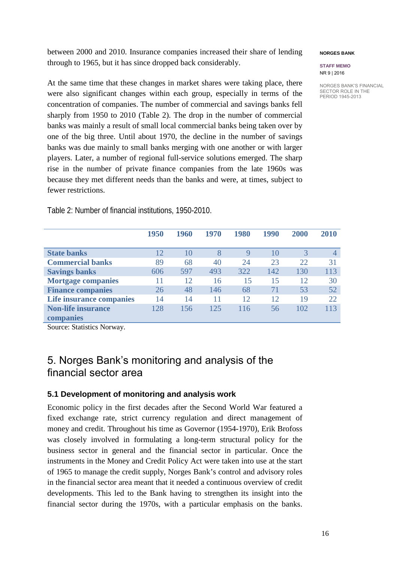between 2000 and 2010. Insurance companies increased their share of lending through to 1965, but it has since dropped back considerably.

#### **NORGES BANK**

#### **STAFF MEMO** NR 9 | 2016

NORGES BANK'S FINANCIAL SECTOR ROLE IN THE PERIOD 1945-2013

At the same time that these changes in market shares were taking place, there were also significant changes within each group, especially in terms of the concentration of companies. The number of commercial and savings banks fell sharply from 1950 to 2010 (Table 2). The drop in the number of commercial banks was mainly a result of small local commercial banks being taken over by one of the big three. Until about 1970, the decline in the number of savings banks was due mainly to small banks merging with one another or with larger players. Later, a number of regional full-service solutions emerged. The sharp rise in the number of private finance companies from the late 1960s was because they met different needs than the banks and were, at times, subject to fewer restrictions.

|                           | 1950 | 1960 | 1970 | 1980 | 1990 | 2000 | 2010           |
|---------------------------|------|------|------|------|------|------|----------------|
| <b>State banks</b>        | 12   | 10   | 8    | 9    | 10   | 3    | $\overline{4}$ |
| <b>Commercial banks</b>   | 89   | 68   | 40   | 24   | 23   | 22   | 31             |
| <b>Savings banks</b>      | 606  | 597  | 493  | 322  | 142  | 130  | 113            |
| <b>Mortgage companies</b> |      | 12   | 16   | 15   | 15   | 12   | 30             |
| <b>Finance companies</b>  | 26   | 48   | 146  | 68   | 71   | 53   | 52             |
| Life insurance companies  | 14   | 14   | 11   | 12   | 12   | 19   | 22.            |
| <b>Non-life insurance</b> | 128  | 156  | 125  | 116  | 56   | 102  | 113            |
| companies                 |      |      |      |      |      |      |                |
|                           |      |      |      |      |      |      |                |

Table 2: Number of financial institutions, 1950-2010.

Source: Statistics Norway.

## 5. Norges Bank's monitoring and analysis of the financial sector area

## **5.1 Development of monitoring and analysis work**

Economic policy in the first decades after the Second World War featured a fixed exchange rate, strict currency regulation and direct management of money and credit. Throughout his time as Governor (1954-1970), Erik Brofoss was closely involved in formulating a long-term structural policy for the business sector in general and the financial sector in particular. Once the instruments in the Money and Credit Policy Act were taken into use at the start of 1965 to manage the credit supply, Norges Bank's control and advisory roles in the financial sector area meant that it needed a continuous overview of credit developments. This led to the Bank having to strengthen its insight into the financial sector during the 1970s, with a particular emphasis on the banks.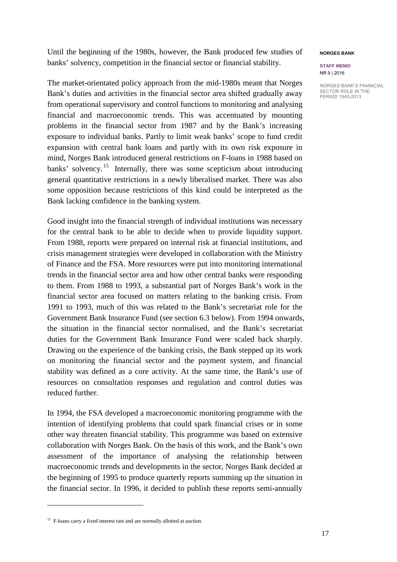Until the beginning of the 1980s, however, the Bank produced few studies of banks' solvency, competition in the financial sector or financial stability.

The market-orientated policy approach from the mid-1980s meant that Norges Bank's duties and activities in the financial sector area shifted gradually away from operational supervisory and control functions to monitoring and analysing financial and macroeconomic trends. This was accentuated by mounting problems in the financial sector from 1987 and by the Bank's increasing exposure to individual banks. Partly to limit weak banks' scope to fund credit expansion with central bank loans and partly with its own risk exposure in mind, Norges Bank introduced general restrictions on F-loans in 1988 based on banks' solvency.<sup>[15](#page-16-0)</sup> Internally, there was some scepticism about introducing general quantitative restrictions in a newly liberalised market. There was also some opposition because restrictions of this kind could be interpreted as the Bank lacking confidence in the banking system.

Good insight into the financial strength of individual institutions was necessary for the central bank to be able to decide when to provide liquidity support. From 1988, reports were prepared on internal risk at financial institutions, and crisis management strategies were developed in collaboration with the Ministry of Finance and the FSA. More resources were put into monitoring international trends in the financial sector area and how other central banks were responding to them. From 1988 to 1993, a substantial part of Norges Bank's work in the financial sector area focused on matters relating to the banking crisis. From 1991 to 1993, much of this was related to the Bank's secretariat role for the Government Bank Insurance Fund (see section 6.3 below). From 1994 onwards, the situation in the financial sector normalised, and the Bank's secretariat duties for the Government Bank Insurance Fund were scaled back sharply. Drawing on the experience of the banking crisis, the Bank stepped up its work on monitoring the financial sector and the payment system, and financial stability was defined as a core activity. At the same time, the Bank's use of resources on consultation responses and regulation and control duties was reduced further.

In 1994, the FSA developed a macroeconomic monitoring programme with the intention of identifying problems that could spark financial crises or in some other way threaten financial stability. This programme was based on extensive collaboration with Norges Bank. On the basis of this work, and the Bank's own assessment of the importance of analysing the relationship between macroeconomic trends and developments in the sector, Norges Bank decided at the beginning of 1995 to produce quarterly reports summing up the situation in the financial sector. In 1996, it decided to publish these reports semi-annually

 $\overline{a}$ 

#### **NORGES BANK**

#### **STAFF MEMO** NR 9 | 2016

<span id="page-16-0"></span><sup>&</sup>lt;sup>15</sup> F-loans carry a fixed interest rate and are normally allotted at auction.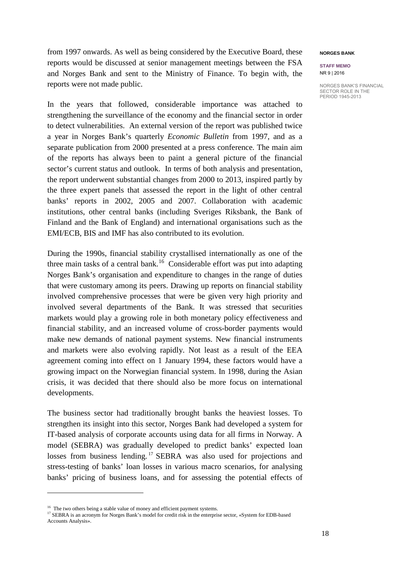from 1997 onwards. As well as being considered by the Executive Board, these reports would be discussed at senior management meetings between the FSA and Norges Bank and sent to the Ministry of Finance. To begin with, the reports were not made public.

In the years that followed, considerable importance was attached to strengthening the surveillance of the economy and the financial sector in order to detect vulnerabilities. An external version of the report was published twice a year in Norges Bank's quarterly *Economic Bulletin* from 1997, and as a separate publication from 2000 presented at a press conference. The main aim of the reports has always been to paint a general picture of the financial sector's current status and outlook. In terms of both analysis and presentation, the report underwent substantial changes from 2000 to 2013, inspired partly by the three expert panels that assessed the report in the light of other central banks' reports in 2002, 2005 and 2007. Collaboration with academic institutions, other central banks (including Sveriges Riksbank, the Bank of Finland and the Bank of England) and international organisations such as the EMI/ECB, BIS and IMF has also contributed to its evolution.

During the 1990s, financial stability crystallised internationally as one of the three main tasks of a central bank.<sup>[16](#page-17-0)</sup> Considerable effort was put into adapting Norges Bank's organisation and expenditure to changes in the range of duties that were customary among its peers. Drawing up reports on financial stability involved comprehensive processes that were be given very high priority and involved several departments of the Bank. It was stressed that securities markets would play a growing role in both monetary policy effectiveness and financial stability, and an increased volume of cross-border payments would make new demands of national payment systems. New financial instruments and markets were also evolving rapidly. Not least as a result of the EEA agreement coming into effect on 1 January 1994, these factors would have a growing impact on the Norwegian financial system. In 1998, during the Asian crisis, it was decided that there should also be more focus on international developments.

The business sector had traditionally brought banks the heaviest losses. To strengthen its insight into this sector, Norges Bank had developed a system for IT-based analysis of corporate accounts using data for all firms in Norway. A model (SEBRA) was gradually developed to predict banks' expected loan losses from business lending.<sup>[17](#page-17-1)</sup> SEBRA was also used for projections and stress-testing of banks' loan losses in various macro scenarios, for analysing banks' pricing of business loans, and for assessing the potential effects of

 $\overline{a}$ 

#### **NORGES BANK**

**STAFF MEMO** NR 9 | 2016

<span id="page-17-0"></span> $^{16}\,$  The two others being a stable value of money and efficient payment systems.

<span id="page-17-1"></span><sup>&</sup>lt;sup>17</sup> SEBRA is an acronym for Norges Bank's model for credit risk in the enterprise sector, «System for EDB-based Accounts Analysis».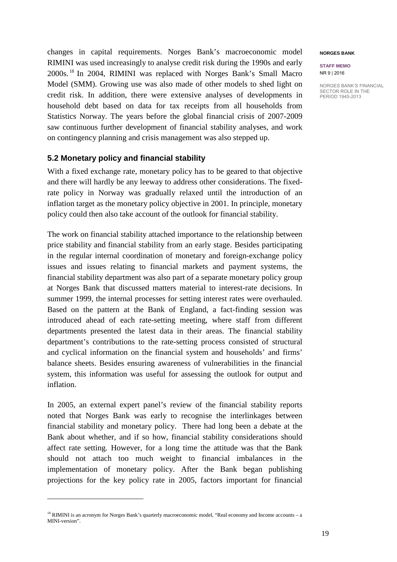changes in capital requirements. Norges Bank's macroeconomic model RIMINI was used increasingly to analyse credit risk during the 1990s and early 2000s. [18](#page-18-0) In 2004, RIMINI was replaced with Norges Bank's Small Macro Model (SMM). Growing use was also made of other models to shed light on credit risk. In addition, there were extensive analyses of developments in household debt based on data for tax receipts from all households from Statistics Norway. The years before the global financial crisis of 2007-2009 saw continuous further development of financial stability analyses, and work on contingency planning and crisis management was also stepped up.

### **5.2 Monetary policy and financial stability**

With a fixed exchange rate, monetary policy has to be geared to that objective and there will hardly be any leeway to address other considerations. The fixedrate policy in Norway was gradually relaxed until the introduction of an inflation target as the monetary policy objective in 2001. In principle, monetary policy could then also take account of the outlook for financial stability.

The work on financial stability attached importance to the relationship between price stability and financial stability from an early stage. Besides participating in the regular internal coordination of monetary and foreign-exchange policy issues and issues relating to financial markets and payment systems, the financial stability department was also part of a separate monetary policy group at Norges Bank that discussed matters material to interest-rate decisions. In summer 1999, the internal processes for setting interest rates were overhauled. Based on the pattern at the Bank of England, a fact-finding session was introduced ahead of each rate-setting meeting, where staff from different departments presented the latest data in their areas. The financial stability department's contributions to the rate-setting process consisted of structural and cyclical information on the financial system and households' and firms' balance sheets. Besides ensuring awareness of vulnerabilities in the financial system, this information was useful for assessing the outlook for output and inflation.

In 2005, an external expert panel's review of the financial stability reports noted that Norges Bank was early to recognise the interlinkages between financial stability and monetary policy. There had long been a debate at the Bank about whether, and if so how, financial stability considerations should affect rate setting. However, for a long time the attitude was that the Bank should not attach too much weight to financial imbalances in the implementation of monetary policy. After the Bank began publishing projections for the key policy rate in 2005, factors important for financial

 $\ddot{\phantom{a}}$ 

#### **NORGES BANK**

**STAFF MEMO** NR 9 | 2016

<span id="page-18-0"></span><sup>&</sup>lt;sup>18</sup> RIMINI is an acronym for Norges Bank's quarterly macroeconomic model, "Real economy and Income accounts – a MINI-version".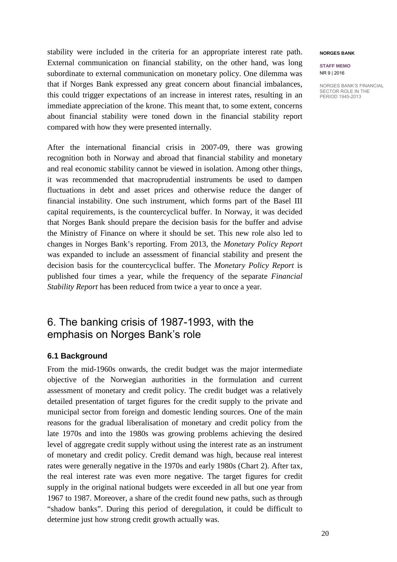stability were included in the criteria for an appropriate interest rate path. External communication on financial stability, on the other hand, was long subordinate to external communication on monetary policy. One dilemma was that if Norges Bank expressed any great concern about financial imbalances, this could trigger expectations of an increase in interest rates, resulting in an immediate appreciation of the krone. This meant that, to some extent, concerns about financial stability were toned down in the financial stability report compared with how they were presented internally.

After the international financial crisis in 2007-09, there was growing recognition both in Norway and abroad that financial stability and monetary and real economic stability cannot be viewed in isolation. Among other things, it was recommended that macroprudential instruments be used to dampen fluctuations in debt and asset prices and otherwise reduce the danger of financial instability. One such instrument, which forms part of the Basel III capital requirements, is the countercyclical buffer. In Norway, it was decided that Norges Bank should prepare the decision basis for the buffer and advise the Ministry of Finance on where it should be set. This new role also led to changes in Norges Bank's reporting. From 2013, the *Monetary Policy Report* was expanded to include an assessment of financial stability and present the decision basis for the countercyclical buffer. The *Monetary Policy Report* is published four times a year, while the frequency of the separate *Financial Stability Report* has been reduced from twice a year to once a year.

## 6. The banking crisis of 1987-1993, with the emphasis on Norges Bank's role

## **6.1 Background**

From the mid-1960s onwards, the credit budget was the major intermediate objective of the Norwegian authorities in the formulation and current assessment of monetary and credit policy. The credit budget was a relatively detailed presentation of target figures for the credit supply to the private and municipal sector from foreign and domestic lending sources. One of the main reasons for the gradual liberalisation of monetary and credit policy from the late 1970s and into the 1980s was growing problems achieving the desired level of aggregate credit supply without using the interest rate as an instrument of monetary and credit policy. Credit demand was high, because real interest rates were generally negative in the 1970s and early 1980s (Chart 2). After tax, the real interest rate was even more negative. The target figures for credit supply in the original national budgets were exceeded in all but one year from 1967 to 1987. Moreover, a share of the credit found new paths, such as through "shadow banks". During this period of deregulation, it could be difficult to determine just how strong credit growth actually was.

#### **NORGES BANK**

**STAFF MEMO** NR 9 | 2016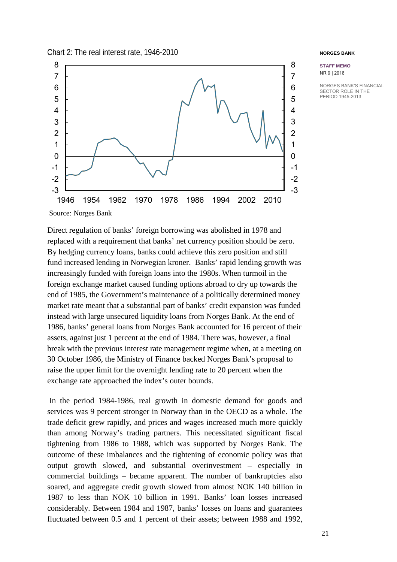Chart 2: The real interest rate, 1946-2010



#### **NORGES BANK**

**STAFF MEMO** NR 9 | 2016

NORGES BANK'S FINANCIAL SECTOR ROLE IN THE PERIOD 1945-2013

Source: Norges Bank

Direct regulation of banks' foreign borrowing was abolished in 1978 and replaced with a requirement that banks' net currency position should be zero. By hedging currency loans, banks could achieve this zero position and still fund increased lending in Norwegian kroner. Banks' rapid lending growth was increasingly funded with foreign loans into the 1980s. When turmoil in the foreign exchange market caused funding options abroad to dry up towards the end of 1985, the Government's maintenance of a politically determined money market rate meant that a substantial part of banks' credit expansion was funded instead with large unsecured liquidity loans from Norges Bank. At the end of 1986, banks' general loans from Norges Bank accounted for 16 percent of their assets, against just 1 percent at the end of 1984. There was, however, a final break with the previous interest rate management regime when, at a meeting on 30 October 1986, the Ministry of Finance backed Norges Bank's proposal to raise the upper limit for the overnight lending rate to 20 percent when the exchange rate approached the index's outer bounds.

In the period 1984-1986, real growth in domestic demand for goods and services was 9 percent stronger in Norway than in the OECD as a whole. The trade deficit grew rapidly, and prices and wages increased much more quickly than among Norway's trading partners. This necessitated significant fiscal tightening from 1986 to 1988, which was supported by Norges Bank. The outcome of these imbalances and the tightening of economic policy was that output growth slowed, and substantial overinvestment – especially in commercial buildings – became apparent. The number of bankruptcies also soared, and aggregate credit growth slowed from almost NOK 140 billion in 1987 to less than NOK 10 billion in 1991. Banks' loan losses increased considerably. Between 1984 and 1987, banks' losses on loans and guarantees fluctuated between 0.5 and 1 percent of their assets; between 1988 and 1992,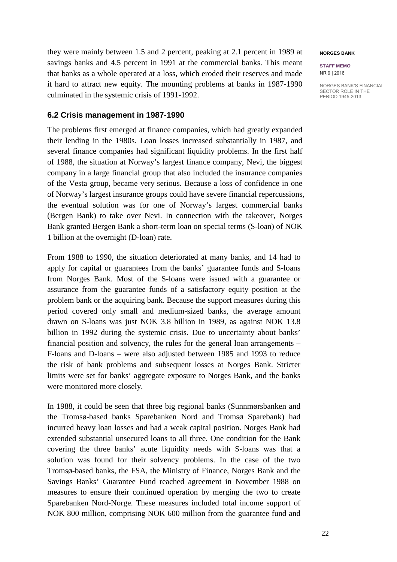they were mainly between 1.5 and 2 percent, peaking at 2.1 percent in 1989 at savings banks and 4.5 percent in 1991 at the commercial banks. This meant that banks as a whole operated at a loss, which eroded their reserves and made it hard to attract new equity. The mounting problems at banks in 1987-1990 culminated in the systemic crisis of 1991-1992.

## **6.2 Crisis management in 1987-1990**

The problems first emerged at finance companies, which had greatly expanded their lending in the 1980s. Loan losses increased substantially in 1987, and several finance companies had significant liquidity problems. In the first half of 1988, the situation at Norway's largest finance company, Nevi, the biggest company in a large financial group that also included the insurance companies of the Vesta group, became very serious. Because a loss of confidence in one of Norway's largest insurance groups could have severe financial repercussions, the eventual solution was for one of Norway's largest commercial banks (Bergen Bank) to take over Nevi. In connection with the takeover, Norges Bank granted Bergen Bank a short-term loan on special terms (S-loan) of NOK 1 billion at the overnight (D-loan) rate.

From 1988 to 1990, the situation deteriorated at many banks, and 14 had to apply for capital or guarantees from the banks' guarantee funds and S-loans from Norges Bank. Most of the S-loans were issued with a guarantee or assurance from the guarantee funds of a satisfactory equity position at the problem bank or the acquiring bank. Because the support measures during this period covered only small and medium-sized banks, the average amount drawn on S-loans was just NOK 3.8 billion in 1989, as against NOK 13.8 billion in 1992 during the systemic crisis. Due to uncertainty about banks' financial position and solvency, the rules for the general loan arrangements – F-loans and D-loans – were also adjusted between 1985 and 1993 to reduce the risk of bank problems and subsequent losses at Norges Bank. Stricter limits were set for banks' aggregate exposure to Norges Bank, and the banks were monitored more closely.

In 1988, it could be seen that three big regional banks (Sunnmørsbanken and the Tromsø-based banks Sparebanken Nord and Tromsø Sparebank) had incurred heavy loan losses and had a weak capital position. Norges Bank had extended substantial unsecured loans to all three. One condition for the Bank covering the three banks' acute liquidity needs with S-loans was that a solution was found for their solvency problems. In the case of the two Tromsø-based banks, the FSA, the Ministry of Finance, Norges Bank and the Savings Banks' Guarantee Fund reached agreement in November 1988 on measures to ensure their continued operation by merging the two to create Sparebanken Nord-Norge. These measures included total income support of NOK 800 million, comprising NOK 600 million from the guarantee fund and

#### **NORGES BANK**

**STAFF MEMO** NR 9 | 2016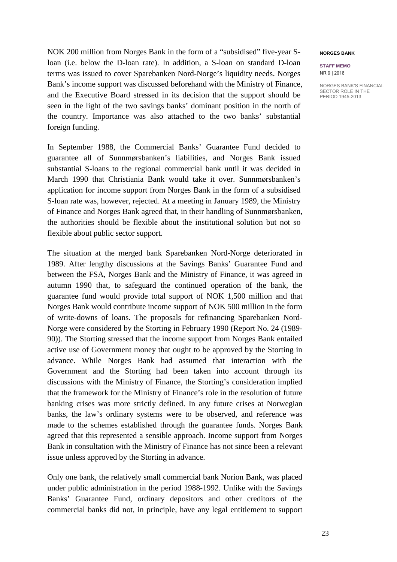NOK 200 million from Norges Bank in the form of a "subsidised" five-year Sloan (i.e. below the D-loan rate). In addition, a S-loan on standard D-loan terms was issued to cover Sparebanken Nord-Norge's liquidity needs. Norges Bank's income support was discussed beforehand with the Ministry of Finance, and the Executive Board stressed in its decision that the support should be seen in the light of the two savings banks' dominant position in the north of the country. Importance was also attached to the two banks' substantial foreign funding.

In September 1988, the Commercial Banks' Guarantee Fund decided to guarantee all of Sunnmørsbanken's liabilities, and Norges Bank issued substantial S-loans to the regional commercial bank until it was decided in March 1990 that Christiania Bank would take it over. Sunnmørsbanken's application for income support from Norges Bank in the form of a subsidised S-loan rate was, however, rejected. At a meeting in January 1989, the Ministry of Finance and Norges Bank agreed that, in their handling of Sunnmørsbanken, the authorities should be flexible about the institutional solution but not so flexible about public sector support.

The situation at the merged bank Sparebanken Nord-Norge deteriorated in 1989. After lengthy discussions at the Savings Banks' Guarantee Fund and between the FSA, Norges Bank and the Ministry of Finance, it was agreed in autumn 1990 that, to safeguard the continued operation of the bank, the guarantee fund would provide total support of NOK 1,500 million and that Norges Bank would contribute income support of NOK 500 million in the form of write-downs of loans. The proposals for refinancing Sparebanken Nord-Norge were considered by the Storting in February 1990 (Report No. 24 (1989- 90)). The Storting stressed that the income support from Norges Bank entailed active use of Government money that ought to be approved by the Storting in advance. While Norges Bank had assumed that interaction with the Government and the Storting had been taken into account through its discussions with the Ministry of Finance, the Storting's consideration implied that the framework for the Ministry of Finance's role in the resolution of future banking crises was more strictly defined. In any future crises at Norwegian banks, the law's ordinary systems were to be observed, and reference was made to the schemes established through the guarantee funds. Norges Bank agreed that this represented a sensible approach. Income support from Norges Bank in consultation with the Ministry of Finance has not since been a relevant issue unless approved by the Storting in advance.

Only one bank, the relatively small commercial bank Norion Bank, was placed under public administration in the period 1988-1992. Unlike with the Savings Banks' Guarantee Fund, ordinary depositors and other creditors of the commercial banks did not, in principle, have any legal entitlement to support

#### **NORGES BANK**

**STAFF MEMO** NR 9 | 2016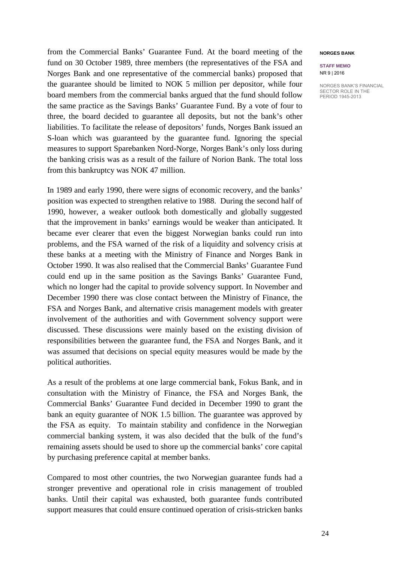from the Commercial Banks' Guarantee Fund. At the board meeting of the fund on 30 October 1989, three members (the representatives of the FSA and Norges Bank and one representative of the commercial banks) proposed that the guarantee should be limited to NOK 5 million per depositor, while four board members from the commercial banks argued that the fund should follow the same practice as the Savings Banks' Guarantee Fund. By a vote of four to three, the board decided to guarantee all deposits, but not the bank's other liabilities. To facilitate the release of depositors' funds, Norges Bank issued an S-loan which was guaranteed by the guarantee fund. Ignoring the special measures to support Sparebanken Nord-Norge, Norges Bank's only loss during the banking crisis was as a result of the failure of Norion Bank. The total loss from this bankruptcy was NOK 47 million.

In 1989 and early 1990, there were signs of economic recovery, and the banks' position was expected to strengthen relative to 1988. During the second half of 1990, however, a weaker outlook both domestically and globally suggested that the improvement in banks' earnings would be weaker than anticipated. It became ever clearer that even the biggest Norwegian banks could run into problems, and the FSA warned of the risk of a liquidity and solvency crisis at these banks at a meeting with the Ministry of Finance and Norges Bank in October 1990. It was also realised that the Commercial Banks' Guarantee Fund could end up in the same position as the Savings Banks' Guarantee Fund, which no longer had the capital to provide solvency support. In November and December 1990 there was close contact between the Ministry of Finance, the FSA and Norges Bank, and alternative crisis management models with greater involvement of the authorities and with Government solvency support were discussed. These discussions were mainly based on the existing division of responsibilities between the guarantee fund, the FSA and Norges Bank, and it was assumed that decisions on special equity measures would be made by the political authorities.

As a result of the problems at one large commercial bank, Fokus Bank, and in consultation with the Ministry of Finance, the FSA and Norges Bank, the Commercial Banks' Guarantee Fund decided in December 1990 to grant the bank an equity guarantee of NOK 1.5 billion. The guarantee was approved by the FSA as equity. To maintain stability and confidence in the Norwegian commercial banking system, it was also decided that the bulk of the fund's remaining assets should be used to shore up the commercial banks' core capital by purchasing preference capital at member banks.

Compared to most other countries, the two Norwegian guarantee funds had a stronger preventive and operational role in crisis management of troubled banks. Until their capital was exhausted, both guarantee funds contributed support measures that could ensure continued operation of crisis-stricken banks

#### **NORGES BANK**

#### **STAFF MEMO** NR 9 | 2016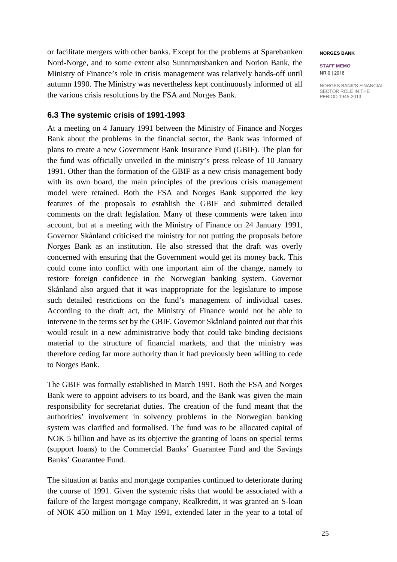or facilitate mergers with other banks. Except for the problems at Sparebanken Nord-Norge, and to some extent also Sunnmørsbanken and Norion Bank, the Ministry of Finance's role in crisis management was relatively hands-off until autumn 1990. The Ministry was nevertheless kept continuously informed of all the various crisis resolutions by the FSA and Norges Bank.

## **6.3 The systemic crisis of 1991-1993**

At a meeting on 4 January 1991 between the Ministry of Finance and Norges Bank about the problems in the financial sector, the Bank was informed of plans to create a new Government Bank Insurance Fund (GBIF). The plan for the fund was officially unveiled in the ministry's press release of 10 January 1991. Other than the formation of the GBIF as a new crisis management body with its own board, the main principles of the previous crisis management model were retained. Both the FSA and Norges Bank supported the key features of the proposals to establish the GBIF and submitted detailed comments on the draft legislation. Many of these comments were taken into account, but at a meeting with the Ministry of Finance on 24 January 1991, Governor Skånland criticised the ministry for not putting the proposals before Norges Bank as an institution. He also stressed that the draft was overly concerned with ensuring that the Government would get its money back. This could come into conflict with one important aim of the change, namely to restore foreign confidence in the Norwegian banking system. Governor Skånland also argued that it was inappropriate for the legislature to impose such detailed restrictions on the fund's management of individual cases. According to the draft act, the Ministry of Finance would not be able to intervene in the terms set by the GBIF. Governor Skånland pointed out that this would result in a new administrative body that could take binding decisions material to the structure of financial markets, and that the ministry was therefore ceding far more authority than it had previously been willing to cede to Norges Bank.

The GBIF was formally established in March 1991. Both the FSA and Norges Bank were to appoint advisers to its board, and the Bank was given the main responsibility for secretariat duties. The creation of the fund meant that the authorities' involvement in solvency problems in the Norwegian banking system was clarified and formalised. The fund was to be allocated capital of NOK 5 billion and have as its objective the granting of loans on special terms (support loans) to the Commercial Banks' Guarantee Fund and the Savings Banks' Guarantee Fund.

The situation at banks and mortgage companies continued to deteriorate during the course of 1991. Given the systemic risks that would be associated with a failure of the largest mortgage company, Realkreditt, it was granted an S-loan of NOK 450 million on 1 May 1991, extended later in the year to a total of

#### **NORGES BANK**

**STAFF MEMO** NR 9 | 2016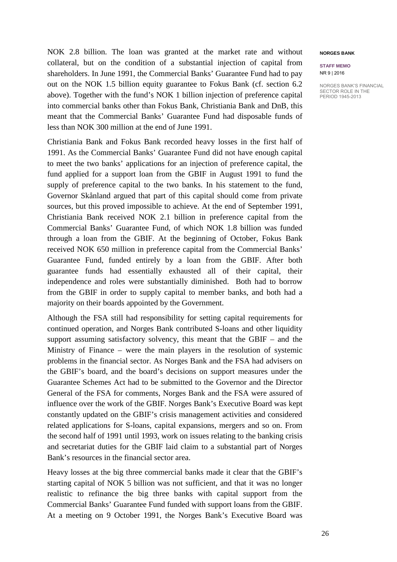NOK 2.8 billion. The loan was granted at the market rate and without collateral, but on the condition of a substantial injection of capital from shareholders. In June 1991, the Commercial Banks' Guarantee Fund had to pay out on the NOK 1.5 billion equity guarantee to Fokus Bank (cf. section 6.2 above). Together with the fund's NOK 1 billion injection of preference capital into commercial banks other than Fokus Bank, Christiania Bank and DnB, this meant that the Commercial Banks' Guarantee Fund had disposable funds of less than NOK 300 million at the end of June 1991.

Christiania Bank and Fokus Bank recorded heavy losses in the first half of 1991. As the Commercial Banks' Guarantee Fund did not have enough capital to meet the two banks' applications for an injection of preference capital, the fund applied for a support loan from the GBIF in August 1991 to fund the supply of preference capital to the two banks. In his statement to the fund, Governor Skånland argued that part of this capital should come from private sources, but this proved impossible to achieve. At the end of September 1991, Christiania Bank received NOK 2.1 billion in preference capital from the Commercial Banks' Guarantee Fund, of which NOK 1.8 billion was funded through a loan from the GBIF. At the beginning of October, Fokus Bank received NOK 650 million in preference capital from the Commercial Banks' Guarantee Fund, funded entirely by a loan from the GBIF. After both guarantee funds had essentially exhausted all of their capital, their independence and roles were substantially diminished. Both had to borrow from the GBIF in order to supply capital to member banks, and both had a majority on their boards appointed by the Government.

Although the FSA still had responsibility for setting capital requirements for continued operation, and Norges Bank contributed S-loans and other liquidity support assuming satisfactory solvency, this meant that the GBIF – and the Ministry of Finance – were the main players in the resolution of systemic problems in the financial sector. As Norges Bank and the FSA had advisers on the GBIF's board, and the board's decisions on support measures under the Guarantee Schemes Act had to be submitted to the Governor and the Director General of the FSA for comments, Norges Bank and the FSA were assured of influence over the work of the GBIF. Norges Bank's Executive Board was kept constantly updated on the GBIF's crisis management activities and considered related applications for S-loans, capital expansions, mergers and so on. From the second half of 1991 until 1993, work on issues relating to the banking crisis and secretariat duties for the GBIF laid claim to a substantial part of Norges Bank's resources in the financial sector area.

Heavy losses at the big three commercial banks made it clear that the GBIF's starting capital of NOK 5 billion was not sufficient, and that it was no longer realistic to refinance the big three banks with capital support from the Commercial Banks' Guarantee Fund funded with support loans from the GBIF. At a meeting on 9 October 1991, the Norges Bank's Executive Board was

#### **NORGES BANK**

#### **STAFF MEMO** NR 9 | 2016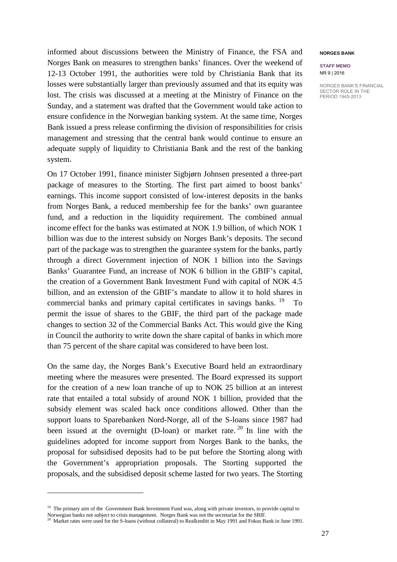informed about discussions between the Ministry of Finance, the FSA and Norges Bank on measures to strengthen banks' finances. Over the weekend of 12-13 October 1991, the authorities were told by Christiania Bank that its losses were substantially larger than previously assumed and that its equity was lost. The crisis was discussed at a meeting at the Ministry of Finance on the Sunday, and a statement was drafted that the Government would take action to ensure confidence in the Norwegian banking system. At the same time, Norges Bank issued a press release confirming the division of responsibilities for crisis management and stressing that the central bank would continue to ensure an adequate supply of liquidity to Christiania Bank and the rest of the banking system.

On 17 October 1991, finance minister Sigbjørn Johnsen presented a three-part package of measures to the Storting. The first part aimed to boost banks' earnings. This income support consisted of low-interest deposits in the banks from Norges Bank, a reduced membership fee for the banks' own guarantee fund, and a reduction in the liquidity requirement. The combined annual income effect for the banks was estimated at NOK 1.9 billion, of which NOK 1 billion was due to the interest subsidy on Norges Bank's deposits. The second part of the package was to strengthen the guarantee system for the banks, partly through a direct Government injection of NOK 1 billion into the Savings Banks' Guarantee Fund, an increase of NOK 6 billion in the GBIF's capital, the creation of a Government Bank Investment Fund with capital of NOK 4.5 billion, and an extension of the GBIF's mandate to allow it to hold shares in commercial banks and primary capital certificates in savings banks. <sup>[19](#page-26-0)</sup> To permit the issue of shares to the GBIF, the third part of the package made changes to section 32 of the Commercial Banks Act. This would give the King in Council the authority to write down the share capital of banks in which more than 75 percent of the share capital was considered to have been lost.

On the same day, the Norges Bank's Executive Board held an extraordinary meeting where the measures were presented. The Board expressed its support for the creation of a new loan tranche of up to NOK 25 billion at an interest rate that entailed a total subsidy of around NOK 1 billion, provided that the subsidy element was scaled back once conditions allowed. Other than the support loans to Sparebanken Nord-Norge, all of the S-loans since 1987 had been issued at the overnight (D-loan) or market rate.  $20$  In line with the guidelines adopted for income support from Norges Bank to the banks, the proposal for subsidised deposits had to be put before the Storting along with the Government's appropriation proposals. The Storting supported the proposals, and the subsidised deposit scheme lasted for two years. The Storting

 $\overline{a}$ 

**STAFF MEMO** NR 9 | 2016

<span id="page-26-0"></span><sup>&</sup>lt;sup>19</sup> The primary aim of the Government Bank Investment Fund was, along with private investors, to provide capital to

Norwegian banks not subject to crisis management. Norges Bank was not the secretariat for the SBIF.

<span id="page-26-1"></span><sup>&</sup>lt;sup>20</sup> Market rates were used for the S-loans (without collateral) to Realkreditt in May 1991 and Fokus Bank in June 1991.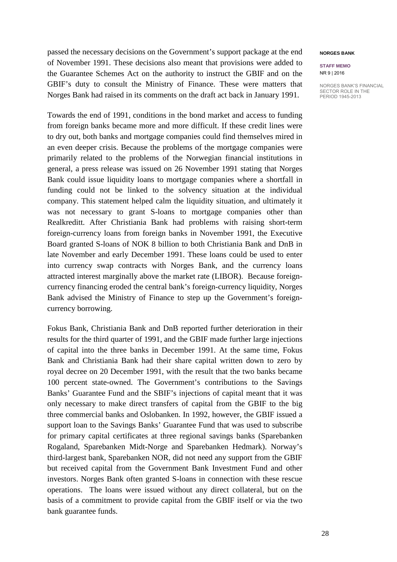passed the necessary decisions on the Government's support package at the end of November 1991. These decisions also meant that provisions were added to the Guarantee Schemes Act on the authority to instruct the GBIF and on the GBIF's duty to consult the Ministry of Finance. These were matters that Norges Bank had raised in its comments on the draft act back in January 1991.

Towards the end of 1991, conditions in the bond market and access to funding from foreign banks became more and more difficult. If these credit lines were to dry out, both banks and mortgage companies could find themselves mired in an even deeper crisis. Because the problems of the mortgage companies were primarily related to the problems of the Norwegian financial institutions in general, a press release was issued on 26 November 1991 stating that Norges Bank could issue liquidity loans to mortgage companies where a shortfall in funding could not be linked to the solvency situation at the individual company. This statement helped calm the liquidity situation, and ultimately it was not necessary to grant S-loans to mortgage companies other than Realkreditt. After Christiania Bank had problems with raising short-term foreign-currency loans from foreign banks in November 1991, the Executive Board granted S-loans of NOK 8 billion to both Christiania Bank and DnB in late November and early December 1991. These loans could be used to enter into currency swap contracts with Norges Bank, and the currency loans attracted interest marginally above the market rate (LIBOR). Because foreigncurrency financing eroded the central bank's foreign-currency liquidity, Norges Bank advised the Ministry of Finance to step up the Government's foreigncurrency borrowing.

Fokus Bank, Christiania Bank and DnB reported further deterioration in their results for the third quarter of 1991, and the GBIF made further large injections of capital into the three banks in December 1991. At the same time, Fokus Bank and Christiania Bank had their share capital written down to zero by royal decree on 20 December 1991, with the result that the two banks became 100 percent state-owned. The Government's contributions to the Savings Banks' Guarantee Fund and the SBIF's injections of capital meant that it was only necessary to make direct transfers of capital from the GBIF to the big three commercial banks and Oslobanken. In 1992, however, the GBIF issued a support loan to the Savings Banks' Guarantee Fund that was used to subscribe for primary capital certificates at three regional savings banks (Sparebanken Rogaland, Sparebanken Midt-Norge and Sparebanken Hedmark). Norway's third-largest bank, Sparebanken NOR, did not need any support from the GBIF but received capital from the Government Bank Investment Fund and other investors. Norges Bank often granted S-loans in connection with these rescue operations. The loans were issued without any direct collateral, but on the basis of a commitment to provide capital from the GBIF itself or via the two bank guarantee funds.

#### **NORGES BANK**

#### **STAFF MEMO** NR 9 | 2016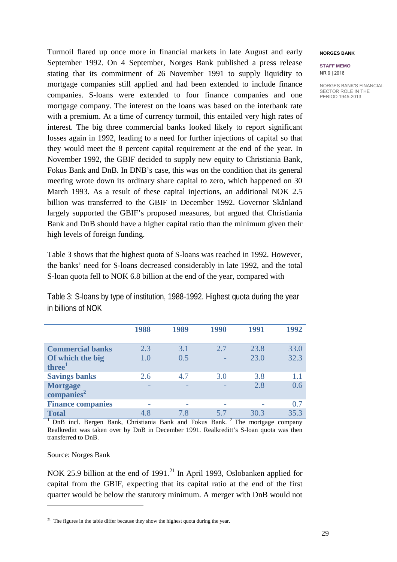Turmoil flared up once more in financial markets in late August and early September 1992. On 4 September, Norges Bank published a press release stating that its commitment of 26 November 1991 to supply liquidity to mortgage companies still applied and had been extended to include finance companies. S-loans were extended to four finance companies and one mortgage company. The interest on the loans was based on the interbank rate with a premium. At a time of currency turmoil, this entailed very high rates of interest. The big three commercial banks looked likely to report significant losses again in 1992, leading to a need for further injections of capital so that they would meet the 8 percent capital requirement at the end of the year. In November 1992, the GBIF decided to supply new equity to Christiania Bank, Fokus Bank and DnB. In DNB's case, this was on the condition that its general meeting wrote down its ordinary share capital to zero, which happened on 30 March 1993. As a result of these capital injections, an additional NOK 2.5 billion was transferred to the GBIF in December 1992. Governor Skånland largely supported the GBIF's proposed measures, but argued that Christiania Bank and DnB should have a higher capital ratio than the minimum given their high levels of foreign funding.

Table 3 shows that the highest quota of S-loans was reached in 1992. However, the banks' need for S-loans decreased considerably in late 1992, and the total S-loan quota fell to NOK 6.8 billion at the end of the year, compared with

Table 3: S-loans by type of institution, 1988-1992. Highest quota during the year in billions of NOK

|                                        | 1988 | 1989 | 1990 | 1991 | 1992 |
|----------------------------------------|------|------|------|------|------|
| <b>Commercial banks</b>                | 2.3  | 3.1  | 2.7  | 23.8 | 33.0 |
| Of which the big<br>three <sup>1</sup> | 1.0  | 0.5  |      | 23.0 | 32.3 |
| <b>Savings banks</b>                   | 2.6  | 4.7  | 3.0  | 3.8  | 1.1  |
| <b>Mortgage</b>                        |      |      |      | 2.8  | 0.6  |
| companies <sup>2</sup>                 |      |      |      |      |      |
| <b>Finance companies</b>               |      |      |      |      | 0.7  |
| <b>Total</b>                           | 4.8  | 7.8  | 5.7  | 30.3 | 35.3 |

<sup>1</sup> DnB incl. Bergen Bank, Christiania Bank and Fokus Bank. <sup>2</sup> The mortgage company Realkreditt was taken over by DnB in December 1991. Realkreditt's S-loan quota was then transferred to DnB.

Source: Norges Bank

 $\overline{a}$ 

NOK 25.9 billion at the end of  $1991<sup>21</sup>$  $1991<sup>21</sup>$  $1991<sup>21</sup>$  In April 1993, Oslobanken applied for capital from the GBIF, expecting that its capital ratio at the end of the first quarter would be below the statutory minimum. A merger with DnB would not

#### **NORGES BANK**

**STAFF MEMO** NR 9 | 2016

<span id="page-28-0"></span><sup>&</sup>lt;sup>21</sup> The figures in the table differ because they show the highest quota during the year.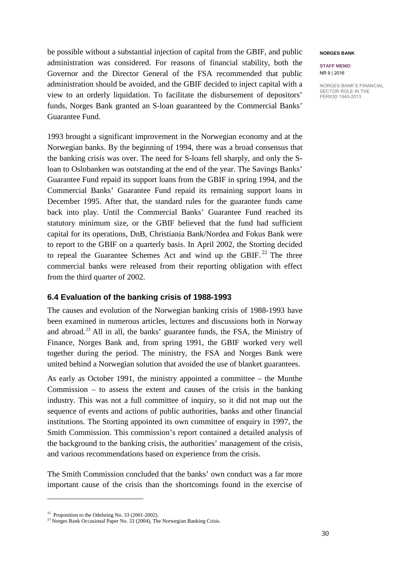be possible without a substantial injection of capital from the GBIF, and public administration was considered. For reasons of financial stability, both the Governor and the Director General of the FSA recommended that public administration should be avoided, and the GBIF decided to inject capital with a view to an orderly liquidation. To facilitate the disbursement of depositors' funds, Norges Bank granted an S-loan guaranteed by the Commercial Banks' Guarantee Fund.

1993 brought a significant improvement in the Norwegian economy and at the Norwegian banks. By the beginning of 1994, there was a broad consensus that the banking crisis was over. The need for S-loans fell sharply, and only the Sloan to Oslobanken was outstanding at the end of the year. The Savings Banks' Guarantee Fund repaid its support loans from the GBIF in spring 1994, and the Commercial Banks' Guarantee Fund repaid its remaining support loans in December 1995. After that, the standard rules for the guarantee funds came back into play. Until the Commercial Banks' Guarantee Fund reached its statutory minimum size, or the GBIF believed that the fund had sufficient capital for its operations, DnB, Christiania Bank/Nordea and Fokus Bank were to report to the GBIF on a quarterly basis. In April 2002, the Storting decided to repeal the Guarantee Schemes Act and wind up the GBIF.<sup>[22](#page-29-0)</sup> The three commercial banks were released from their reporting obligation with effect from the third quarter of 2002.

## **6.4 Evaluation of the banking crisis of 1988-1993**

The causes and evolution of the Norwegian banking crisis of 1988-1993 have been examined in numerous articles, lectures and discussions both in Norway and abroad.[23](#page-29-1) All in all, the banks' guarantee funds, the FSA, the Ministry of Finance, Norges Bank and, from spring 1991, the GBIF worked very well together during the period. The ministry, the FSA and Norges Bank were united behind a Norwegian solution that avoided the use of blanket guarantees.

As early as October 1991, the ministry appointed a committee – the Munthe Commission  $-$  to assess the extent and causes of the crisis in the banking industry. This was not a full committee of inquiry, so it did not map out the sequence of events and actions of public authorities, banks and other financial institutions. The Storting appointed its own committee of enquiry in 1997, the Smith Commission. This commission's report contained a detailed analysis of the background to the banking crisis, the authorities' management of the crisis, and various recommendations based on experience from the crisis.

The Smith Commission concluded that the banks' own conduct was a far more important cause of the crisis than the shortcomings found in the exercise of

 $\ddot{\phantom{a}}$ 

#### **NORGES BANK**

**STAFF MEMO** NR 9 | 2016

 $22$  Proposition to the Odelsting No. 33 (2001-2002).

<span id="page-29-1"></span><span id="page-29-0"></span><sup>&</sup>lt;sup>23</sup> Norges Bank Occasional Paper No. 33 (2004), The Norwegian Banking Crisis.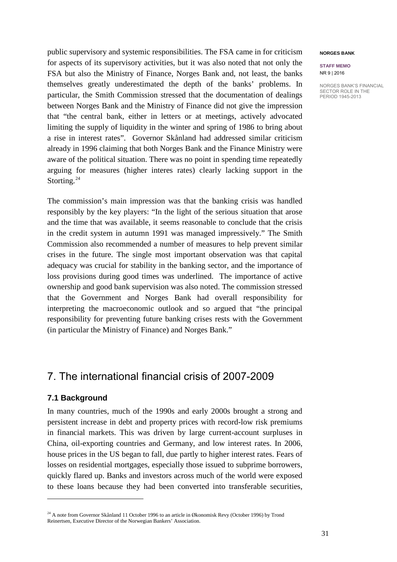public supervisory and systemic responsibilities. The FSA came in for criticism for aspects of its supervisory activities, but it was also noted that not only the FSA but also the Ministry of Finance, Norges Bank and, not least, the banks themselves greatly underestimated the depth of the banks' problems. In particular, the Smith Commission stressed that the documentation of dealings between Norges Bank and the Ministry of Finance did not give the impression that "the central bank, either in letters or at meetings, actively advocated limiting the supply of liquidity in the winter and spring of 1986 to bring about a rise in interest rates". Governor Skånland had addressed similar criticism already in 1996 claiming that both Norges Bank and the Finance Ministry were aware of the political situation. There was no point in spending time repeatedly arguing for measures (higher interes rates) clearly lacking support in the Storting.<sup>[24](#page-30-0)</sup>

The commission's main impression was that the banking crisis was handled responsibly by the key players: "In the light of the serious situation that arose and the time that was available, it seems reasonable to conclude that the crisis in the credit system in autumn 1991 was managed impressively." The Smith Commission also recommended a number of measures to help prevent similar crises in the future. The single most important observation was that capital adequacy was crucial for stability in the banking sector, and the importance of loss provisions during good times was underlined. The importance of active ownership and good bank supervision was also noted. The commission stressed that the Government and Norges Bank had overall responsibility for interpreting the macroeconomic outlook and so argued that "the principal responsibility for preventing future banking crises rests with the Government (in particular the Ministry of Finance) and Norges Bank."

## 7. The international financial crisis of 2007-2009

## **7.1 Background**

 $\ddot{\phantom{a}}$ 

In many countries, much of the 1990s and early 2000s brought a strong and persistent increase in debt and property prices with record-low risk premiums in financial markets. This was driven by large current-account surpluses in China, oil-exporting countries and Germany, and low interest rates. In 2006, house prices in the US began to fall, due partly to higher interest rates. Fears of losses on residential mortgages, especially those issued to subprime borrowers, quickly flared up. Banks and investors across much of the world were exposed to these loans because they had been converted into transferable securities,

#### **NORGES BANK**

**STAFF MEMO** NR 9 | 2016

<span id="page-30-0"></span><sup>&</sup>lt;sup>24</sup> A note from Governor Skånland 11 October 1996 to an article in Økonomisk Revy (October 1996) by Trond Reinertsen, Executive Director of the Norwegian Bankers' Association.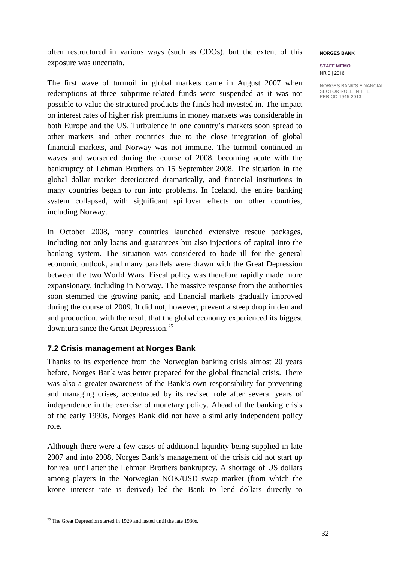often restructured in various ways (such as CDOs), but the extent of this exposure was uncertain.

The first wave of turmoil in global markets came in August 2007 when redemptions at three subprime-related funds were suspended as it was not possible to value the structured products the funds had invested in. The impact on interest rates of higher risk premiums in money markets was considerable in both Europe and the US. Turbulence in one country's markets soon spread to other markets and other countries due to the close integration of global financial markets, and Norway was not immune. The turmoil continued in waves and worsened during the course of 2008, becoming acute with the bankruptcy of Lehman Brothers on 15 September 2008. The situation in the global dollar market deteriorated dramatically, and financial institutions in many countries began to run into problems. In Iceland, the entire banking system collapsed, with significant spillover effects on other countries, including Norway.

In October 2008, many countries launched extensive rescue packages, including not only loans and guarantees but also injections of capital into the banking system. The situation was considered to bode ill for the general economic outlook, and many parallels were drawn with the Great Depression between the two World Wars. Fiscal policy was therefore rapidly made more expansionary, including in Norway. The massive response from the authorities soon stemmed the growing panic, and financial markets gradually improved during the course of 2009. It did not, however, prevent a steep drop in demand and production, with the result that the global economy experienced its biggest downturn since the Great Depression.[25](#page-31-0)

## **7.2 Crisis management at Norges Bank**

Thanks to its experience from the Norwegian banking crisis almost 20 years before, Norges Bank was better prepared for the global financial crisis. There was also a greater awareness of the Bank's own responsibility for preventing and managing crises, accentuated by its revised role after several years of independence in the exercise of monetary policy. Ahead of the banking crisis of the early 1990s, Norges Bank did not have a similarly independent policy role.

Although there were a few cases of additional liquidity being supplied in late 2007 and into 2008, Norges Bank's management of the crisis did not start up for real until after the Lehman Brothers bankruptcy. A shortage of US dollars among players in the Norwegian NOK/USD swap market (from which the krone interest rate is derived) led the Bank to lend dollars directly to

 $\overline{a}$ 

## **NORGES BANK**

#### **STAFF MEMO** NR 9 | 2016

<span id="page-31-0"></span> $25$  The Great Depression started in 1929 and lasted until the late 1930s.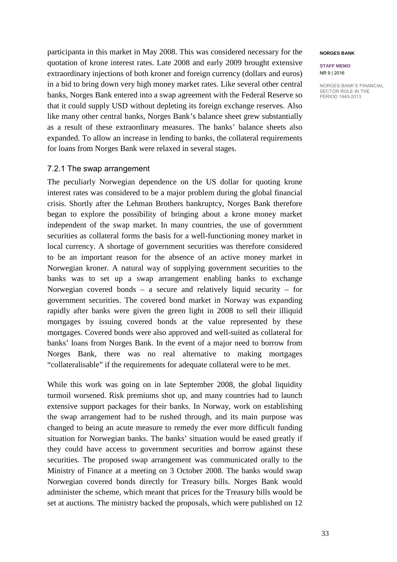participanta in this market in May 2008. This was considered necessary for the quotation of krone interest rates. Late 2008 and early 2009 brought extensive extraordinary injections of both kroner and foreign currency (dollars and euros) in a bid to bring down very high money market rates. Like several other central banks, Norges Bank entered into a swap agreement with the Federal Reserve so that it could supply USD without depleting its foreign exchange reserves. Also like many other central banks, Norges Bank's balance sheet grew substantially as a result of these extraordinary measures. The banks' balance sheets also expanded. To allow an increase in lending to banks, the collateral requirements for loans from Norges Bank were relaxed in several stages.

### 7.2.1 The swap arrangement

The peculiarly Norwegian dependence on the US dollar for quoting krone interest rates was considered to be a major problem during the global financial crisis. Shortly after the Lehman Brothers bankruptcy, Norges Bank therefore began to explore the possibility of bringing about a krone money market independent of the swap market. In many countries, the use of government securities as collateral forms the basis for a well-functioning money market in local currency. A shortage of government securities was therefore considered to be an important reason for the absence of an active money market in Norwegian kroner. A natural way of supplying government securities to the banks was to set up a swap arrangement enabling banks to exchange Norwegian covered bonds – a secure and relatively liquid security – for government securities. The covered bond market in Norway was expanding rapidly after banks were given the green light in 2008 to sell their illiquid mortgages by issuing covered bonds at the value represented by these mortgages. Covered bonds were also approved and well-suited as collateral for banks' loans from Norges Bank. In the event of a major need to borrow from Norges Bank, there was no real alternative to making mortgages "collateralisable" if the requirements for adequate collateral were to be met.

While this work was going on in late September 2008, the global liquidity turmoil worsened. Risk premiums shot up, and many countries had to launch extensive support packages for their banks. In Norway, work on establishing the swap arrangement had to be rushed through, and its main purpose was changed to being an acute measure to remedy the ever more difficult funding situation for Norwegian banks. The banks' situation would be eased greatly if they could have access to government securities and borrow against these securities. The proposed swap arrangement was communicated orally to the Ministry of Finance at a meeting on 3 October 2008. The banks would swap Norwegian covered bonds directly for Treasury bills. Norges Bank would administer the scheme, which meant that prices for the Treasury bills would be set at auctions. The ministry backed the proposals, which were published on 12

#### **NORGES BANK**

#### **STAFF MEMO** NR 9 | 2016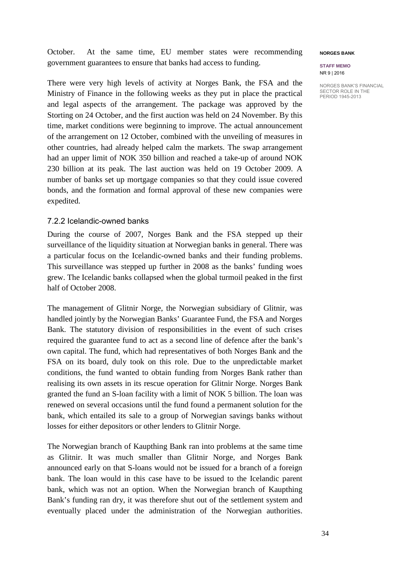October. At the same time, EU member states were recommending government guarantees to ensure that banks had access to funding.

There were very high levels of activity at Norges Bank, the FSA and the Ministry of Finance in the following weeks as they put in place the practical and legal aspects of the arrangement. The package was approved by the Storting on 24 October, and the first auction was held on 24 November. By this time, market conditions were beginning to improve. The actual announcement of the arrangement on 12 October, combined with the unveiling of measures in other countries, had already helped calm the markets. The swap arrangement had an upper limit of NOK 350 billion and reached a take-up of around NOK 230 billion at its peak. The last auction was held on 19 October 2009. A number of banks set up mortgage companies so that they could issue covered bonds, and the formation and formal approval of these new companies were expedited.

## 7.2.2 Icelandic-owned banks

During the course of 2007, Norges Bank and the FSA stepped up their surveillance of the liquidity situation at Norwegian banks in general. There was a particular focus on the Icelandic-owned banks and their funding problems. This surveillance was stepped up further in 2008 as the banks' funding woes grew. The Icelandic banks collapsed when the global turmoil peaked in the first half of October 2008.

The management of Glitnir Norge, the Norwegian subsidiary of Glitnir, was handled jointly by the Norwegian Banks' Guarantee Fund, the FSA and Norges Bank. The statutory division of responsibilities in the event of such crises required the guarantee fund to act as a second line of defence after the bank's own capital. The fund, which had representatives of both Norges Bank and the FSA on its board, duly took on this role. Due to the unpredictable market conditions, the fund wanted to obtain funding from Norges Bank rather than realising its own assets in its rescue operation for Glitnir Norge. Norges Bank granted the fund an S-loan facility with a limit of NOK 5 billion. The loan was renewed on several occasions until the fund found a permanent solution for the bank, which entailed its sale to a group of Norwegian savings banks without losses for either depositors or other lenders to Glitnir Norge.

The Norwegian branch of Kaupthing Bank ran into problems at the same time as Glitnir. It was much smaller than Glitnir Norge, and Norges Bank announced early on that S-loans would not be issued for a branch of a foreign bank. The loan would in this case have to be issued to the Icelandic parent bank, which was not an option. When the Norwegian branch of Kaupthing Bank's funding ran dry, it was therefore shut out of the settlement system and eventually placed under the administration of the Norwegian authorities.

#### **NORGES BANK**

**STAFF MEMO** NR 9 | 2016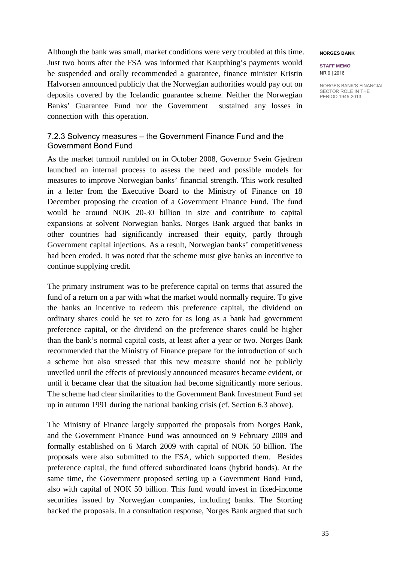Although the bank was small, market conditions were very troubled at this time. Just two hours after the FSA was informed that Kaupthing's payments would be suspended and orally recommended a guarantee, finance minister Kristin Halvorsen announced publicly that the Norwegian authorities would pay out on deposits covered by the Icelandic guarantee scheme. Neither the Norwegian Banks' Guarantee Fund nor the Government sustained any losses in connection with this operation.

## 7.2.3 Solvency measures – the Government Finance Fund and the Government Bond Fund

As the market turmoil rumbled on in October 2008, Governor Svein Gjedrem launched an internal process to assess the need and possible models for measures to improve Norwegian banks' financial strength. This work resulted in a letter from the Executive Board to the Ministry of Finance on 18 December proposing the creation of a Government Finance Fund. The fund would be around NOK 20-30 billion in size and contribute to capital expansions at solvent Norwegian banks. Norges Bank argued that banks in other countries had significantly increased their equity, partly through Government capital injections. As a result, Norwegian banks' competitiveness had been eroded. It was noted that the scheme must give banks an incentive to continue supplying credit.

The primary instrument was to be preference capital on terms that assured the fund of a return on a par with what the market would normally require. To give the banks an incentive to redeem this preference capital, the dividend on ordinary shares could be set to zero for as long as a bank had government preference capital, or the dividend on the preference shares could be higher than the bank's normal capital costs, at least after a year or two. Norges Bank recommended that the Ministry of Finance prepare for the introduction of such a scheme but also stressed that this new measure should not be publicly unveiled until the effects of previously announced measures became evident, or until it became clear that the situation had become significantly more serious. The scheme had clear similarities to the Government Bank Investment Fund set up in autumn 1991 during the national banking crisis (cf. Section 6.3 above).

The Ministry of Finance largely supported the proposals from Norges Bank, and the Government Finance Fund was announced on 9 February 2009 and formally established on 6 March 2009 with capital of NOK 50 billion. The proposals were also submitted to the FSA, which supported them. Besides preference capital, the fund offered subordinated loans (hybrid bonds). At the same time, the Government proposed setting up a Government Bond Fund, also with capital of NOK 50 billion. This fund would invest in fixed-income securities issued by Norwegian companies, including banks. The Storting backed the proposals. In a consultation response, Norges Bank argued that such

#### **NORGES BANK**

**STAFF MEMO** NR 9 | 2016